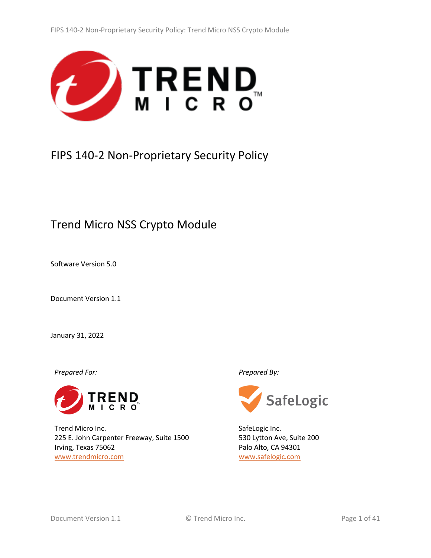

# <span id="page-0-2"></span>FIPS 140-2 Non-Proprietary Security Policy

# Trend Micro NSS Crypto Module

<span id="page-0-1"></span>Software Version 5.0

<span id="page-0-0"></span>Document Version 1.1

January 31, 2022

*Prepared For: Prepared By:*



Trend Micro Inc. 225 E. John Carpenter Freeway, Suite 1500 Irving, Texas 75062 <www.trendmicro.com>



SafeLogic Inc. 530 Lytton Ave, Suite 200 Palo Alto, CA 94301 [www.safelogic.com](http://www.safelogic.com/)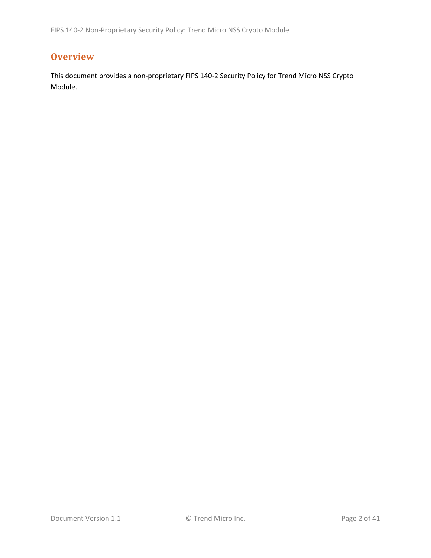# <span id="page-1-0"></span>**Overview**

This document provides a non-proprietary FIPS 140-2 Security Policy for Trend Micro NSS Crypto Module.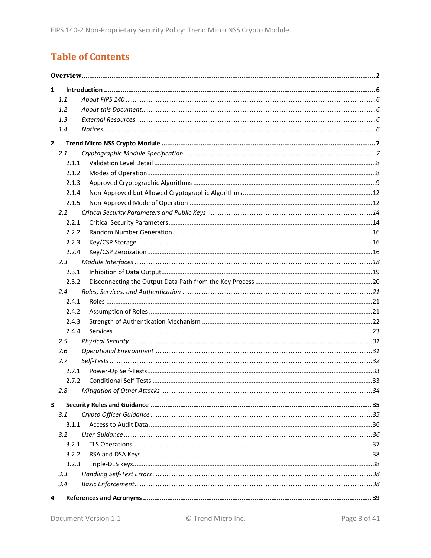# **Table of Contents**

| $\mathbf{1}$            |               |  |
|-------------------------|---------------|--|
|                         | 1.1           |  |
|                         | 1.2           |  |
|                         | 1.3           |  |
|                         | 1.4           |  |
| $\overline{2}$          |               |  |
|                         | 2.1           |  |
|                         | 2.1.1         |  |
|                         | 2.1.2         |  |
|                         | 2.1.3         |  |
|                         | 2.1.4         |  |
|                         | 2.1.5         |  |
|                         | $2.2^{\circ}$ |  |
|                         | 2.2.1         |  |
|                         | 2.2.2         |  |
|                         | 2.2.3         |  |
|                         | 2.2.4         |  |
|                         | 2.3           |  |
|                         | 2.3.1         |  |
|                         | 2.3.2         |  |
|                         | 2.4           |  |
|                         | 2.4.1         |  |
|                         | 2.4.2         |  |
|                         | 2.4.3         |  |
|                         | 2.4.4         |  |
|                         | 2.5           |  |
|                         | 2.6           |  |
|                         | 2.7           |  |
|                         | 2.7.1         |  |
|                         | 2.7.2         |  |
|                         | 2.8           |  |
| $\overline{\mathbf{3}}$ |               |  |
|                         | 3.1           |  |
|                         | 3.1.1         |  |
|                         | $3.2^{\circ}$ |  |
|                         | 3.2.1         |  |
|                         | 3.2.2         |  |
|                         | 3.2.3         |  |
|                         | 3.3           |  |
|                         | 3.4           |  |
| 4                       |               |  |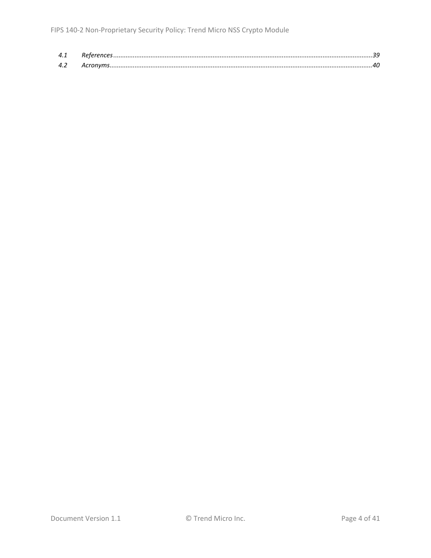| 4.1 |  |
|-----|--|
| 42  |  |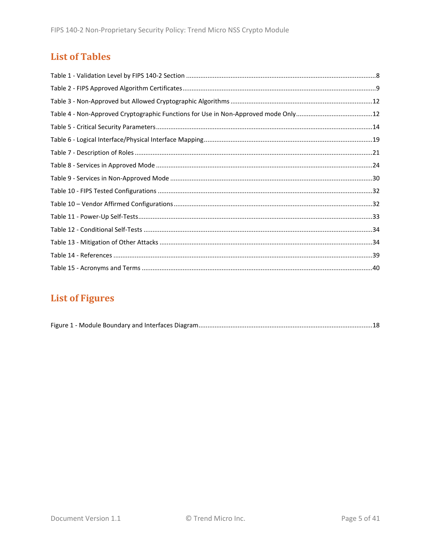# **List of Tables**

# **List of Figures**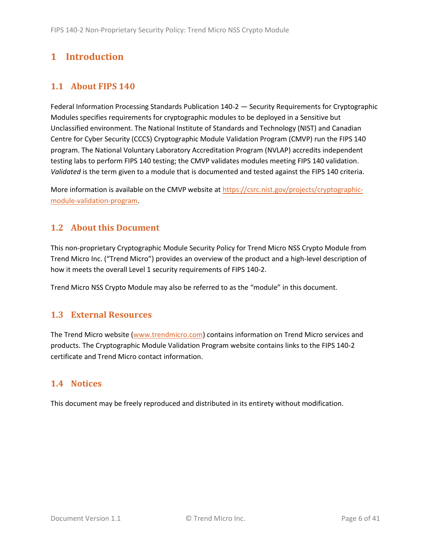# <span id="page-5-0"></span>**1 Introduction**

# <span id="page-5-1"></span>**1.1 About FIPS 140**

Federal Information Processing Standards Publication 140-2 — Security Requirements for Cryptographic Modules specifies requirements for cryptographic modules to be deployed in a Sensitive but Unclassified environment. The National Institute of Standards and Technology (NIST) and Canadian Centre for Cyber Security (CCCS) Cryptographic Module Validation Program (CMVP) run the FIPS 140 program. The National Voluntary Laboratory Accreditation Program (NVLAP) accredits independent testing labs to perform FIPS 140 testing; the CMVP validates modules meeting FIPS 140 validation. *Validated* is the term given to a module that is documented and tested against the FIPS 140 criteria.

More information is available on the CMVP website at [https://csrc.nist.gov/projects/cryptographic](https://csrc.nist.gov/projects/cryptographic-module-validation-program)[module-validation-program.](https://csrc.nist.gov/projects/cryptographic-module-validation-program)

# <span id="page-5-2"></span>**1.2 About this Document**

This non-proprietary Cryptographic Module Security Policy for Trend Micro NSS Crypto Module from Trend Micro Inc. ("Trend Micro") provides an overview of the product and a high-level description of how it meets the overall Level 1 security requirements of FIPS 140-2.

Trend Micro NSS Crypto Module may also be referred to as the "module" in this document.

## <span id="page-5-3"></span>**1.3 External Resources**

The Trend Micro website [\(www.trendmicro.com\)](http://www.trendmicro.com/) contains information on Trend Micro services and products. The Cryptographic Module Validation Program website contains links to the FIPS 140-2 certificate and Trend Micro contact information.

## <span id="page-5-4"></span>**1.4 Notices**

This document may be freely reproduced and distributed in its entirety without modification.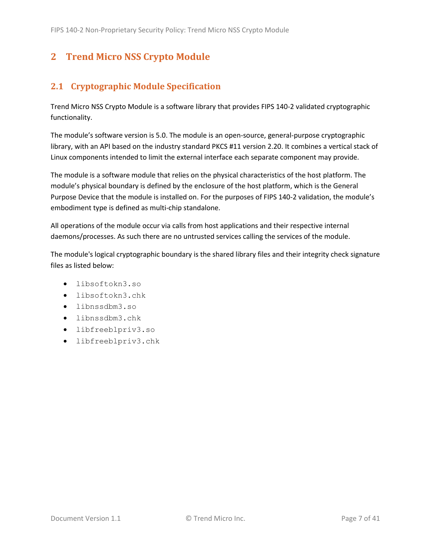# <span id="page-6-0"></span>**2 Trend Micro NSS Crypto Module**

# <span id="page-6-1"></span>**2.1 Cryptographic Module Specification**

Trend Micro NSS Crypto Module is a software library that provides FIPS 140-2 validated cryptographic functionality.

The module's software version is [5.0.](#page-0-1) The module is an open-source, general-purpose cryptographic library, with an API based on the industry standard PKCS #11 version 2.20. It combines a vertical stack of Linux components intended to limit the external interface each separate component may provide.

The module is a software module that relies on the physical characteristics of the host platform. The module's physical boundary is defined by the enclosure of the host platform, which is the General Purpose Device that the module is installed on. For the purposes of FIPS 140-2 validation, the module's embodiment type is defined as multi-chip standalone.

All operations of the module occur via calls from host applications and their respective internal daemons/processes. As such there are no untrusted services calling the services of the module.

The module's logical cryptographic boundary is the shared library files and their integrity check signature files as listed below:

- libsoftokn3.so
- libsoftokn3.chk
- libnssdbm3.so
- libnssdbm3.chk
- libfreeblpriv3.so
- libfreeblpriv3.chk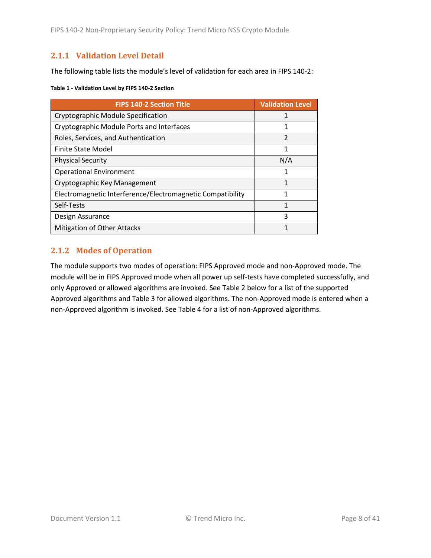### <span id="page-7-0"></span>**2.1.1 Validation Level Detail**

The following table lists the module's level of validation for each area in FIPS 140-2:

#### **Table 1 - Validation Level by FIPS 140-2 Section**

| <b>FIPS 140-2 Section Title</b>                            | <b>Validation Level</b> |
|------------------------------------------------------------|-------------------------|
| Cryptographic Module Specification                         |                         |
| Cryptographic Module Ports and Interfaces                  | 1                       |
| Roles, Services, and Authentication                        | $\mathfrak{p}$          |
| Finite State Model                                         | 1                       |
| <b>Physical Security</b>                                   | N/A                     |
| <b>Operational Environment</b>                             | 1                       |
| Cryptographic Key Management                               | 1                       |
| Electromagnetic Interference/Electromagnetic Compatibility | 1                       |
| Self-Tests                                                 | 1                       |
| Design Assurance                                           | 3                       |
| <b>Mitigation of Other Attacks</b>                         |                         |

### <span id="page-7-1"></span>**2.1.2 Modes of Operation**

The module supports two modes of operation: FIPS Approved mode and non-Approved mode. The module will be in FIPS Approved mode when all power up self-tests have completed successfully, and only Approved or allowed algorithms are invoked. See [Table 2](#page-8-1) below for a list of the supported Approved algorithms and [Table 3](#page-11-2) for allowed algorithms. The non-Approved mode is entered when a non-Approved algorithm is invoked. See [Table 4](#page-11-3) for a list of non-Approved algorithms.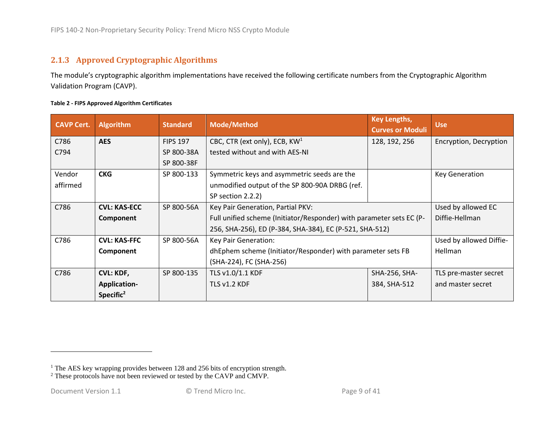## **2.1.3 Approved Cryptographic Algorithms**

The module's cryptographic algorithm implementations have received the following certificate numbers from the Cryptographic Algorithm Validation Program (CAVP).

<span id="page-8-1"></span><span id="page-8-0"></span>

| <b>CAVP Cert.</b>                                                        | <b>Algorithm</b>    | <b>Standard</b> | <b>Key Lengths,</b><br><b>Mode/Method</b><br><b>Curves or Moduli</b> |               | <b>Use</b>              |
|--------------------------------------------------------------------------|---------------------|-----------------|----------------------------------------------------------------------|---------------|-------------------------|
| C786                                                                     | <b>AES</b>          | <b>FIPS 197</b> | CBC, CTR (ext only), ECB, KW <sup>1</sup>                            | 128, 192, 256 | Encryption, Decryption  |
| C794                                                                     |                     | SP 800-38A      | tested without and with AES-NI                                       |               |                         |
|                                                                          |                     | SP 800-38F      |                                                                      |               |                         |
| Vendor                                                                   | <b>CKG</b>          | SP 800-133      | Symmetric keys and asymmetric seeds are the                          |               | <b>Key Generation</b>   |
| affirmed                                                                 |                     |                 | unmodified output of the SP 800-90A DRBG (ref.                       |               |                         |
|                                                                          |                     |                 | SP section 2.2.2)                                                    |               |                         |
| C786                                                                     | <b>CVL: KAS-ECC</b> | SP 800-56A      | Key Pair Generation, Partial PKV:                                    |               | Used by allowed EC      |
|                                                                          | Component           |                 | Full unified scheme (Initiator/Responder) with parameter sets EC (P- |               | Diffie-Hellman          |
|                                                                          |                     |                 | 256, SHA-256), ED (P-384, SHA-384), EC (P-521, SHA-512)              |               |                         |
| C786                                                                     | <b>CVL: KAS-FFC</b> | SP 800-56A      | Key Pair Generation:                                                 |               | Used by allowed Diffie- |
| dhEphem scheme (Initiator/Responder) with parameter sets FB<br>Component |                     |                 | Hellman                                                              |               |                         |
|                                                                          |                     |                 | (SHA-224), FC (SHA-256)                                              |               |                         |
| C786                                                                     | <b>CVL: KDF,</b>    | SP 800-135      | TLS v1.0/1.1 KDF                                                     | SHA-256, SHA- | TLS pre-master secret   |
|                                                                          | <b>Application-</b> |                 | TLS v1.2 KDF                                                         | 384, SHA-512  | and master secret       |
|                                                                          | Specific $2$        |                 |                                                                      |               |                         |

<sup>&</sup>lt;sup>1</sup> The AES key wrapping provides between 128 and 256 bits of encryption strength.

<sup>&</sup>lt;sup>2</sup> These protocols have not been reviewed or tested by the CAVP and CMVP.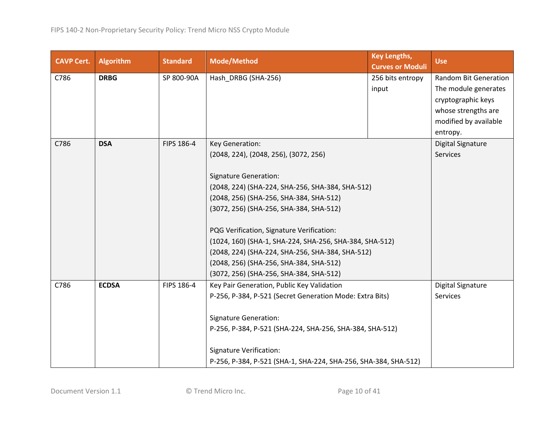| <b>CAVP Cert.</b>                                        | <b>Algorithm</b>                                 | <b>Standard</b>                | <b>Mode/Method</b>                                                                                                                              | <b>Key Lengths,</b><br><b>Curves or Moduli</b> | <b>Use</b>                   |
|----------------------------------------------------------|--------------------------------------------------|--------------------------------|-------------------------------------------------------------------------------------------------------------------------------------------------|------------------------------------------------|------------------------------|
| C786                                                     | <b>DRBG</b>                                      | SP 800-90A                     | Hash_DRBG (SHA-256)                                                                                                                             | 256 bits entropy                               | <b>Random Bit Generation</b> |
|                                                          |                                                  |                                |                                                                                                                                                 | input                                          | The module generates         |
|                                                          |                                                  |                                |                                                                                                                                                 |                                                | cryptographic keys           |
|                                                          |                                                  |                                |                                                                                                                                                 |                                                | whose strengths are          |
|                                                          |                                                  |                                |                                                                                                                                                 |                                                | modified by available        |
|                                                          |                                                  |                                |                                                                                                                                                 |                                                | entropy.                     |
| C786                                                     | <b>DSA</b>                                       | FIPS 186-4                     | Key Generation:                                                                                                                                 |                                                | Digital Signature            |
|                                                          |                                                  |                                | (2048, 224), (2048, 256), (3072, 256)                                                                                                           |                                                | Services                     |
|                                                          |                                                  |                                |                                                                                                                                                 |                                                |                              |
|                                                          |                                                  |                                | <b>Signature Generation:</b>                                                                                                                    |                                                |                              |
|                                                          |                                                  |                                | (2048, 224) (SHA-224, SHA-256, SHA-384, SHA-512)                                                                                                |                                                |                              |
|                                                          |                                                  |                                | (2048, 256) (SHA-256, SHA-384, SHA-512)                                                                                                         |                                                |                              |
|                                                          |                                                  |                                | (3072, 256) (SHA-256, SHA-384, SHA-512)<br>PQG Verification, Signature Verification:<br>(1024, 160) (SHA-1, SHA-224, SHA-256, SHA-384, SHA-512) |                                                |                              |
|                                                          |                                                  |                                |                                                                                                                                                 |                                                |                              |
|                                                          |                                                  |                                |                                                                                                                                                 |                                                |                              |
|                                                          |                                                  |                                |                                                                                                                                                 |                                                |                              |
|                                                          | (2048, 224) (SHA-224, SHA-256, SHA-384, SHA-512) |                                |                                                                                                                                                 |                                                |                              |
|                                                          |                                                  |                                | (2048, 256) (SHA-256, SHA-384, SHA-512)                                                                                                         |                                                |                              |
|                                                          |                                                  |                                | (3072, 256) (SHA-256, SHA-384, SHA-512)                                                                                                         |                                                |                              |
| C786                                                     | <b>ECDSA</b>                                     | FIPS 186-4                     | Key Pair Generation, Public Key Validation                                                                                                      |                                                | Digital Signature            |
|                                                          |                                                  |                                | P-256, P-384, P-521 (Secret Generation Mode: Extra Bits)                                                                                        |                                                | Services                     |
|                                                          |                                                  |                                |                                                                                                                                                 |                                                |                              |
|                                                          |                                                  |                                | <b>Signature Generation:</b>                                                                                                                    |                                                |                              |
| P-256, P-384, P-521 (SHA-224, SHA-256, SHA-384, SHA-512) |                                                  |                                |                                                                                                                                                 |                                                |                              |
|                                                          |                                                  | <b>Signature Verification:</b> |                                                                                                                                                 |                                                |                              |
|                                                          |                                                  |                                | P-256, P-384, P-521 (SHA-1, SHA-224, SHA-256, SHA-384, SHA-512)                                                                                 |                                                |                              |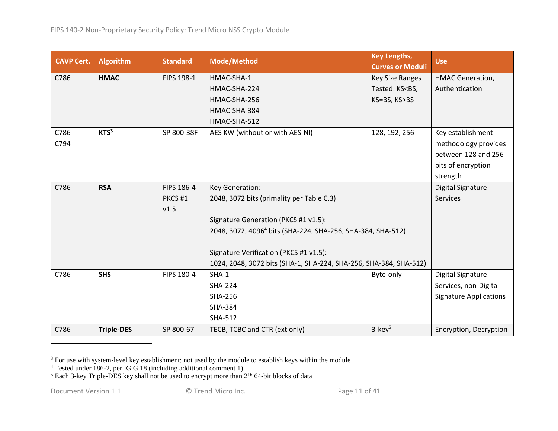| <b>CAVP Cert.</b> | <b>Algorithm</b>  | <b>Standard</b> | <b>Mode/Method</b>                                                      | <b>Key Lengths,</b><br><b>Curves or Moduli</b>        | <b>Use</b>                    |
|-------------------|-------------------|-----------------|-------------------------------------------------------------------------|-------------------------------------------------------|-------------------------------|
| C786              | <b>HMAC</b>       | FIPS 198-1      | HMAC-SHA-1                                                              | Key Size Ranges                                       | HMAC Generation,              |
|                   |                   |                 | HMAC-SHA-224                                                            | Tested: KS <bs,< td=""><td>Authentication</td></bs,<> | Authentication                |
|                   |                   |                 | HMAC-SHA-256                                                            | KS=BS, KS>BS                                          |                               |
|                   |                   |                 | HMAC-SHA-384                                                            |                                                       |                               |
|                   |                   |                 | HMAC-SHA-512                                                            |                                                       |                               |
| C786              | KTS <sup>3</sup>  | SP 800-38F      | AES KW (without or with AES-NI)                                         | 128, 192, 256                                         | Key establishment             |
| C794              |                   |                 |                                                                         |                                                       | methodology provides          |
|                   |                   |                 |                                                                         |                                                       | between 128 and 256           |
|                   |                   |                 |                                                                         |                                                       | bits of encryption            |
|                   |                   |                 |                                                                         |                                                       | strength                      |
| C786              | <b>RSA</b>        | FIPS 186-4      | Key Generation:                                                         |                                                       | Digital Signature             |
|                   |                   | PKCS#1          | 2048, 3072 bits (primality per Table C.3)                               |                                                       | Services                      |
|                   |                   | v1.5            |                                                                         |                                                       |                               |
|                   |                   |                 | Signature Generation (PKCS #1 v1.5):                                    |                                                       |                               |
|                   |                   |                 | 2048, 3072, 4096 <sup>4</sup> bits (SHA-224, SHA-256, SHA-384, SHA-512) |                                                       |                               |
|                   |                   |                 |                                                                         |                                                       |                               |
|                   |                   |                 | Signature Verification (PKCS #1 v1.5):                                  |                                                       |                               |
|                   |                   |                 | 1024, 2048, 3072 bits (SHA-1, SHA-224, SHA-256, SHA-384, SHA-512)       |                                                       |                               |
| C786              | <b>SHS</b>        | FIPS 180-4      | $SHA-1$                                                                 | Byte-only                                             | <b>Digital Signature</b>      |
|                   |                   |                 | <b>SHA-224</b>                                                          |                                                       | Services, non-Digital         |
|                   |                   |                 | <b>SHA-256</b>                                                          |                                                       | <b>Signature Applications</b> |
|                   |                   |                 | <b>SHA-384</b>                                                          |                                                       |                               |
|                   |                   |                 | <b>SHA-512</b>                                                          |                                                       |                               |
| C786              | <b>Triple-DES</b> | SP 800-67       | TECB, TCBC and CTR (ext only)                                           | $3$ -key <sup>5</sup>                                 | Encryption, Decryption        |

 $3$  For use with system-level key establishment; not used by the module to establish keys within the module

<sup>&</sup>lt;sup>4</sup> Tested under 186-2, per IG G.18 (including additional comment 1)

 $5$  Each 3-key Triple-DES key shall not be used to encrypt more than  $2^{16}$  64-bit blocks of data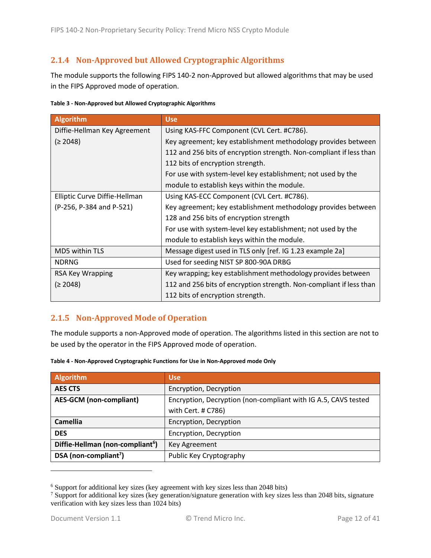### <span id="page-11-0"></span>**2.1.4 Non-Approved but Allowed Cryptographic Algorithms**

The module supports the following FIPS 140-2 non-Approved but allowed algorithms that may be used in the FIPS Approved mode of operation.

<span id="page-11-2"></span>

| Table 3 - Non-Approved but Allowed Cryptographic Algorithms |  |  |
|-------------------------------------------------------------|--|--|
|                                                             |  |  |

| Algorithm                     | <b>Use</b>                                                          |  |
|-------------------------------|---------------------------------------------------------------------|--|
| Diffie-Hellman Key Agreement  | Using KAS-FFC Component (CVL Cert. #C786).                          |  |
| (≥ 2048)                      | Key agreement; key establishment methodology provides between       |  |
|                               | 112 and 256 bits of encryption strength. Non-compliant if less than |  |
|                               | 112 bits of encryption strength.                                    |  |
|                               | For use with system-level key establishment; not used by the        |  |
|                               | module to establish keys within the module.                         |  |
| Elliptic Curve Diffie-Hellman | Using KAS-ECC Component (CVL Cert. #C786).                          |  |
| (P-256, P-384 and P-521)      | Key agreement; key establishment methodology provides between       |  |
|                               | 128 and 256 bits of encryption strength                             |  |
|                               | For use with system-level key establishment; not used by the        |  |
|                               | module to establish keys within the module.                         |  |
| MD5 within TLS                | Message digest used in TLS only [ref. IG 1.23 example 2a]           |  |
| <b>NDRNG</b>                  | Used for seeding NIST SP 800-90A DRBG                               |  |
| RSA Key Wrapping              | Key wrapping; key establishment methodology provides between        |  |
| (≥ 2048)                      | 112 and 256 bits of encryption strength. Non-compliant if less than |  |
|                               | 112 bits of encryption strength.                                    |  |

### <span id="page-11-1"></span>**2.1.5 Non-Approved Mode of Operation**

The module supports a non-Approved mode of operation. The algorithms listed in this section are not to be used by the operator in the FIPS Approved mode of operation.

| <b>Algorithm</b>                             | <b>Use</b>                                                     |  |
|----------------------------------------------|----------------------------------------------------------------|--|
| <b>AES CTS</b>                               | Encryption, Decryption                                         |  |
| <b>AES-GCM</b> (non-compliant)               | Encryption, Decryption (non-compliant with IG A.5, CAVS tested |  |
|                                              | with Cert. # C786)                                             |  |
| <b>Camellia</b>                              | Encryption, Decryption                                         |  |
| <b>DES</b>                                   | Encryption, Decryption                                         |  |
| Diffie-Hellman (non-compliant <sup>6</sup> ) | Key Agreement                                                  |  |
| DSA (non-compliant <sup>7</sup> )            | Public Key Cryptography                                        |  |

<span id="page-11-3"></span>

| Table 4 - Non-Approved Cryptographic Functions for Use in Non-Approved mode Only |  |
|----------------------------------------------------------------------------------|--|
|----------------------------------------------------------------------------------|--|

<sup>6</sup> Support for additional key sizes (key agreement with key sizes less than 2048 bits)

<sup>&</sup>lt;sup>7</sup> Support for additional key sizes (key generation/signature generation with key sizes less than 2048 bits, signature verification with key sizes less than 1024 bits)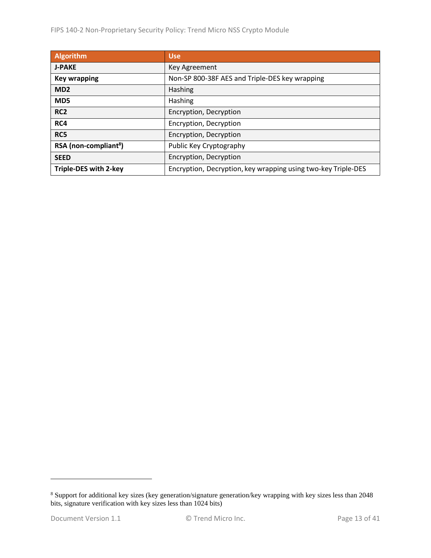| <b>Algorithm</b>                  | <b>Use</b>                                                    |
|-----------------------------------|---------------------------------------------------------------|
| <b>J-PAKE</b>                     | Key Agreement                                                 |
| <b>Key wrapping</b>               | Non-SP 800-38F AES and Triple-DES key wrapping                |
| MD <sub>2</sub>                   | Hashing                                                       |
| MD <sub>5</sub>                   | Hashing                                                       |
| RC <sub>2</sub>                   | Encryption, Decryption                                        |
| RC4                               | Encryption, Decryption                                        |
| RC5                               | Encryption, Decryption                                        |
| RSA (non-compliant <sup>8</sup> ) | Public Key Cryptography                                       |
| <b>SEED</b>                       | Encryption, Decryption                                        |
| Triple-DES with 2-key             | Encryption, Decryption, key wrapping using two-key Triple-DES |

<sup>&</sup>lt;sup>8</sup> Support for additional key sizes (key generation/signature generation/key wrapping with key sizes less than 2048 bits, signature verification with key sizes less than 1024 bits)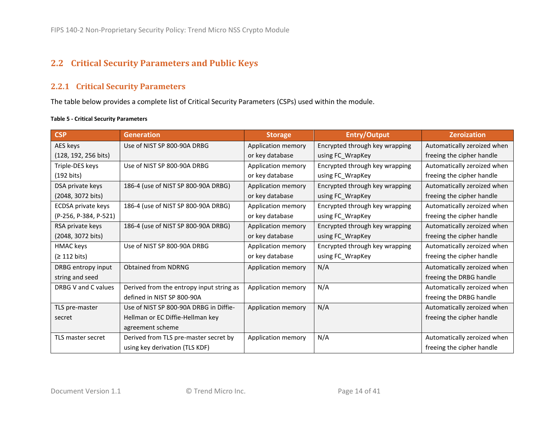# **2.2 Critical Security Parameters and Public Keys**

### **2.2.1 Critical Security Parameters**

The table below provides a complete list of Critical Security Parameters (CSPs) used within the module.

#### <span id="page-13-3"></span>**Table 5 - Critical Security Parameters**

<span id="page-13-2"></span><span id="page-13-1"></span><span id="page-13-0"></span>

| <b>CSP</b>            | <b>Generation</b>                        | <b>Storage</b>     | <b>Entry/Output</b>            | <b>Zeroization</b>          |
|-----------------------|------------------------------------------|--------------------|--------------------------------|-----------------------------|
| AES keys              | Use of NIST SP 800-90A DRBG              | Application memory | Encrypted through key wrapping | Automatically zeroized when |
| (128, 192, 256 bits)  |                                          | or key database    | using FC_WrapKey               | freeing the cipher handle   |
| Triple-DES keys       | Use of NIST SP 800-90A DRBG              | Application memory | Encrypted through key wrapping | Automatically zeroized when |
| $(192 \text{ bits})$  |                                          | or key database    | using FC_WrapKey               | freeing the cipher handle   |
| DSA private keys      | 186-4 (use of NIST SP 800-90A DRBG)      | Application memory | Encrypted through key wrapping | Automatically zeroized when |
| (2048, 3072 bits)     |                                          | or key database    | using FC WrapKey               | freeing the cipher handle   |
| ECDSA private keys    | 186-4 (use of NIST SP 800-90A DRBG)      | Application memory | Encrypted through key wrapping | Automatically zeroized when |
| (P-256, P-384, P-521) |                                          | or key database    | using FC_WrapKey               | freeing the cipher handle   |
| RSA private keys      | 186-4 (use of NIST SP 800-90A DRBG)      | Application memory | Encrypted through key wrapping | Automatically zeroized when |
| (2048, 3072 bits)     |                                          | or key database    | using FC_WrapKey               | freeing the cipher handle   |
| HMAC keys             | Use of NIST SP 800-90A DRBG              | Application memory | Encrypted through key wrapping | Automatically zeroized when |
| (≥ 112 bits)          |                                          | or key database    | using FC_WrapKey               | freeing the cipher handle   |
| DRBG entropy input    | <b>Obtained from NDRNG</b>               | Application memory | N/A                            | Automatically zeroized when |
| string and seed       |                                          |                    |                                | freeing the DRBG handle     |
| DRBG V and C values   | Derived from the entropy input string as | Application memory | N/A                            | Automatically zeroized when |
|                       | defined in NIST SP 800-90A               |                    |                                | freeing the DRBG handle     |
| TLS pre-master        | Use of NIST SP 800-90A DRBG in Diffie-   | Application memory | N/A                            | Automatically zeroized when |
| secret                | Hellman or EC Diffie-Hellman key         |                    |                                | freeing the cipher handle   |
|                       | agreement scheme                         |                    |                                |                             |
| TLS master secret     | Derived from TLS pre-master secret by    | Application memory | N/A                            | Automatically zeroized when |
|                       | using key derivation (TLS KDF)           |                    |                                | freeing the cipher handle   |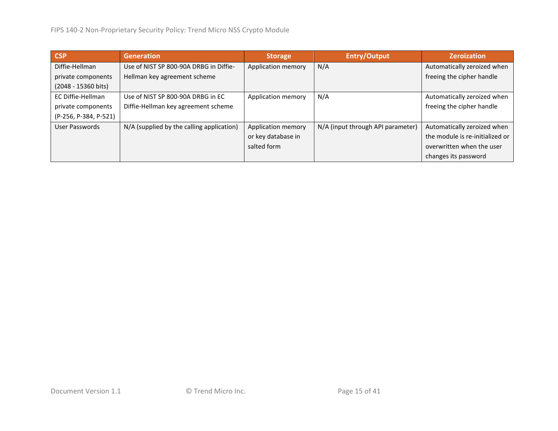| <b>CSP</b>            | <b>Generation</b>                         | <b>Storage</b>     | <b>Entry/Output</b>               | <b>Zeroization</b>              |
|-----------------------|-------------------------------------------|--------------------|-----------------------------------|---------------------------------|
| Diffie-Hellman        | Use of NIST SP 800-90A DRBG in Diffie-    | Application memory | N/A                               | Automatically zeroized when     |
| private components    | Hellman key agreement scheme              |                    |                                   | freeing the cipher handle       |
| (2048 - 15360 bits)   |                                           |                    |                                   |                                 |
| EC Diffie-Hellman     | Use of NIST SP 800-90A DRBG in EC         | Application memory | N/A                               | Automatically zeroized when     |
| private components    | Diffie-Hellman key agreement scheme       |                    |                                   | freeing the cipher handle       |
| (P-256, P-384, P-521) |                                           |                    |                                   |                                 |
| User Passwords        | N/A (supplied by the calling application) | Application memory | N/A (input through API parameter) | Automatically zeroized when     |
|                       |                                           | or key database in |                                   | the module is re-initialized or |
|                       |                                           | salted form        |                                   | overwritten when the user       |
|                       |                                           |                    |                                   | changes its password            |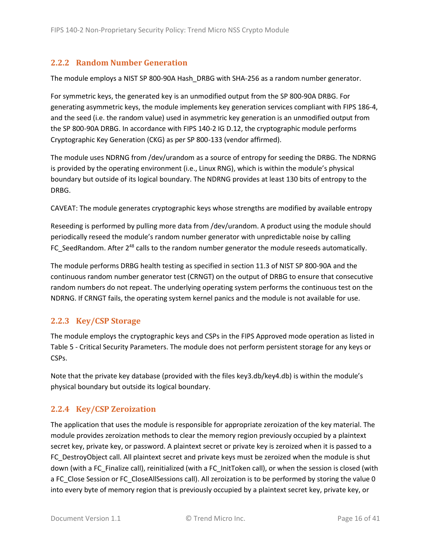### <span id="page-15-3"></span><span id="page-15-0"></span>**2.2.2 Random Number Generation**

The module employs a NIST SP 800-90A Hash\_DRBG with SHA-256 as a random number generator.

For symmetric keys, the generated key is an unmodified output from the SP 800-90A DRBG. For generating asymmetric keys, the module implements key generation services compliant with FIPS 186-4, and the seed (i.e. the random value) used in asymmetric key generation is an unmodified output from the SP 800-90A DRBG. In accordance with FIPS 140-2 IG D.12, the cryptographic module performs Cryptographic Key Generation (CKG) as per SP 800-133 (vendor affirmed).

The module uses NDRNG from /dev/urandom as a source of entropy for seeding the DRBG. The NDRNG is provided by the operating environment (i.e., Linux RNG), which is within the module's physical boundary but outside of its logical boundary. The NDRNG provides at least 130 bits of entropy to the DRBG.

CAVEAT: The module generates cryptographic keys whose strengths are modified by available entropy

Reseeding is performed by pulling more data from /dev/urandom. A product using the module should periodically reseed the module's random number generator with unpredictable noise by calling FC\_SeedRandom. After 2<sup>48</sup> calls to the random number generator the module reseeds automatically.

The module performs DRBG health testing as specified in section 11.3 of NIST SP 800-90A and the continuous random number generator test (CRNGT) on the output of DRBG to ensure that consecutive random numbers do not repeat. The underlying operating system performs the continuous test on the NDRNG. If CRNGT fails, the operating system kernel panics and the module is not available for use.

#### <span id="page-15-1"></span>**2.2.3 Key/CSP Storage**

The module employs the cryptographic keys and CSPs in the FIPS Approved mode operation as listed in Table 5 - [Critical Security Parameters.](#page-13-2) The module does not perform persistent storage for any keys or CSPs.

Note that the private key database (provided with the files key3.db/key4.db) is within the module's physical boundary but outside its logical boundary.

#### <span id="page-15-2"></span>**2.2.4 Key/CSP Zeroization**

The application that uses the module is responsible for appropriate zeroization of the key material. The module provides zeroization methods to clear the memory region previously occupied by a plaintext secret key, private key, or password. A plaintext secret or private key is zeroized when it is passed to a FC\_DestroyObject call. All plaintext secret and private keys must be zeroized when the module is shut down (with a FC\_Finalize call), reinitialized (with a FC\_InitToken call), or when the session is closed (with a FC\_Close Session or FC\_CloseAllSessions call). All zeroization is to be performed by storing the value 0 into every byte of memory region that is previously occupied by a plaintext secret key, private key, or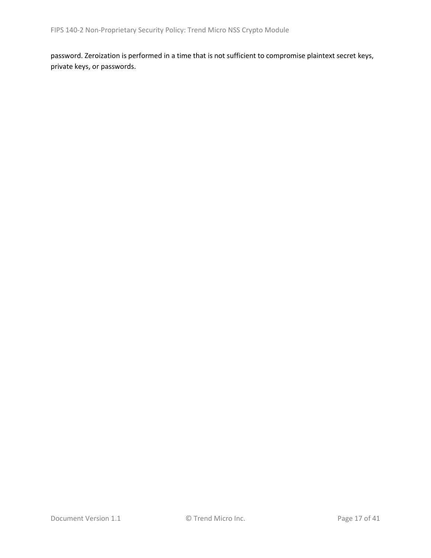password. Zeroization is performed in a time that is not sufficient to compromise plaintext secret keys, private keys, or passwords.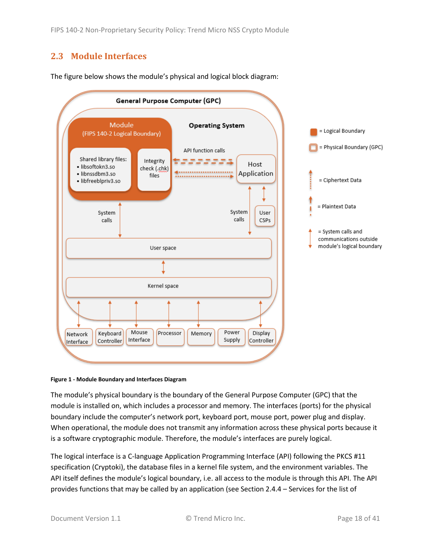# <span id="page-17-0"></span>**2.3 Module Interfaces**



The figure below shows the module's physical and logical block diagram:

#### **Figure 1 - Module Boundary and Interfaces Diagram**

The module's physical boundary is the boundary of the General Purpose Computer (GPC) that the module is installed on, which includes a processor and memory. The interfaces (ports) for the physical boundary include the computer's network port, keyboard port, mouse port, power plug and display. When operational, the module does not transmit any information across these physical ports because it is a software cryptographic module. Therefore, the module's interfaces are purely logical.

The logical interface is a C-language Application Programming Interface (API) following the PKCS #11 specification (Cryptoki), the database files in a kernel file system, and the environment variables. The API itself defines the module's logical boundary, i.e. all access to the module is through this API. The API provides functions that may be called by an application (see Sectio[n 2.4.4](#page-22-0) – [Services](#page-22-0) for the list of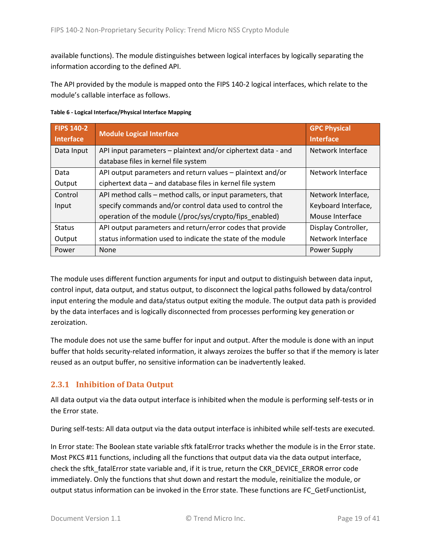available functions). The module distinguishes between logical interfaces by logically separating the information according to the defined API.

The API provided by the module is mapped onto the FIPS 140-2 logical interfaces, which relate to the module's callable interface as follows.

| <b>FIPS 140-2</b><br><b>Interface</b> | <b>Module Logical Interface</b>                               | <b>GPC Physical</b><br><b>Interface</b> |
|---------------------------------------|---------------------------------------------------------------|-----------------------------------------|
| Data Input                            | API input parameters – plaintext and/or ciphertext data - and | Network Interface                       |
|                                       | database files in kernel file system                          |                                         |
| Data                                  | API output parameters and return values - plaintext and/or    | Network Interface                       |
| Output                                | ciphertext data - and database files in kernel file system    |                                         |
| Control                               | API method calls - method calls, or input parameters, that    | Network Interface,                      |
| Input                                 | specify commands and/or control data used to control the      | Keyboard Interface,                     |
|                                       | operation of the module (/proc/sys/crypto/fips_enabled)       | Mouse Interface                         |
| <b>Status</b>                         | API output parameters and return/error codes that provide     | Display Controller,                     |
| Output                                | status information used to indicate the state of the module   | Network Interface                       |
| Power                                 | None                                                          | Power Supply                            |

**Table 6 - Logical Interface/Physical Interface Mapping**

The module uses different function arguments for input and output to distinguish between data input, control input, data output, and status output, to disconnect the logical paths followed by data/control input entering the module and data/status output exiting the module. The output data path is provided by the data interfaces and is logically disconnected from processes performing key generation or zeroization.

The module does not use the same buffer for input and output. After the module is done with an input buffer that holds security-related information, it always zeroizes the buffer so that if the memory is later reused as an output buffer, no sensitive information can be inadvertently leaked.

### <span id="page-18-0"></span>**2.3.1 Inhibition of Data Output**

All data output via the data output interface is inhibited when the module is performing self-tests or in the Error state.

During self-tests: All data output via the data output interface is inhibited while self-tests are executed.

In Error state: The Boolean state variable sftk fatalError tracks whether the module is in the Error state. Most PKCS #11 functions, including all the functions that output data via the data output interface, check the sftk\_fatalError state variable and, if it is true, return the CKR\_DEVICE\_ERROR error code immediately. Only the functions that shut down and restart the module, reinitialize the module, or output status information can be invoked in the Error state. These functions are FC\_GetFunctionList,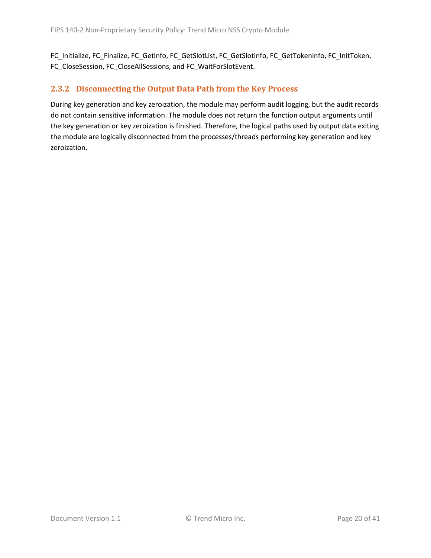FC\_Initialize, FC\_Finalize, FC\_Getlnfo, FC\_GetSlotList, FC\_GetSlotinfo, FC\_GetTokeninfo, FC\_InitToken, FC\_CloseSession, FC\_CloseAllSessions, and FC\_WaitForSlotEvent.

### <span id="page-19-0"></span>**2.3.2 Disconnecting the Output Data Path from the Key Process**

During key generation and key zeroization, the module may perform audit logging, but the audit records do not contain sensitive information. The module does not return the function output arguments until the key generation or key zeroization is finished. Therefore, the logical paths used by output data exiting the module are logically disconnected from the processes/threads performing key generation and key zeroization.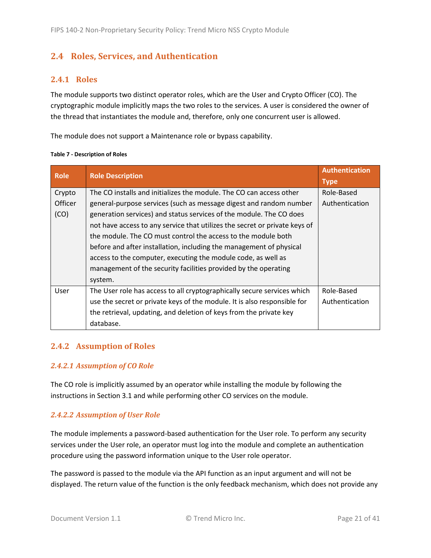# <span id="page-20-0"></span>**2.4 Roles, Services, and Authentication**

#### <span id="page-20-1"></span>**2.4.1 Roles**

The module supports two distinct operator roles, which are the User and Crypto Officer (CO). The cryptographic module implicitly maps the two roles to the services. A user is considered the owner of the thread that instantiates the module and, therefore, only one concurrent user is allowed.

The module does not support a Maintenance role or bypass capability.

| <b>Role</b>    | <b>Role Description</b>                                                    | <b>Authentication</b><br><b>Type</b> |
|----------------|----------------------------------------------------------------------------|--------------------------------------|
| Crypto         | The CO installs and initializes the module. The CO can access other        | Role-Based                           |
| <b>Officer</b> | general-purpose services (such as message digest and random number         | Authentication                       |
| (CO)           | generation services) and status services of the module. The CO does        |                                      |
|                | not have access to any service that utilizes the secret or private keys of |                                      |
|                | the module. The CO must control the access to the module both              |                                      |
|                | before and after installation, including the management of physical        |                                      |
|                | access to the computer, executing the module code, as well as              |                                      |
|                | management of the security facilities provided by the operating            |                                      |
|                | system.                                                                    |                                      |
| User           | The User role has access to all cryptographically secure services which    | Role-Based                           |
|                | use the secret or private keys of the module. It is also responsible for   | Authentication                       |
|                | the retrieval, updating, and deletion of keys from the private key         |                                      |
|                | database.                                                                  |                                      |

#### **Table 7 - Description of Roles**

#### <span id="page-20-2"></span>**2.4.2 Assumption of Roles**

#### *2.4.2.1 Assumption of CO Role*

The CO role is implicitly assumed by an operator while installing the module by following the instructions in Sectio[n 3.1](#page-34-1) and while performing other CO services on the module.

#### *2.4.2.2 Assumption of User Role*

The module implements a password-based authentication for the User role. To perform any security services under the User role, an operator must log into the module and complete an authentication procedure using the password information unique to the User role operator.

The password is passed to the module via the API function as an input argument and will not be displayed. The return value of the function is the only feedback mechanism, which does not provide any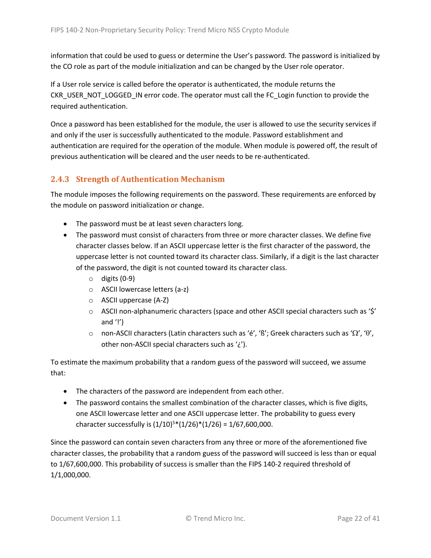information that could be used to guess or determine the User's password. The password is initialized by the CO role as part of the module initialization and can be changed by the User role operator.

If a User role service is called before the operator is authenticated, the module returns the CKR\_USER\_NOT\_LOGGED\_IN error code. The operator must call the FC\_Login function to provide the required authentication.

Once a password has been established for the module, the user is allowed to use the security services if and only if the user is successfully authenticated to the module. Password establishment and authentication are required for the operation of the module. When module is powered off, the result of previous authentication will be cleared and the user needs to be re-authenticated.

### <span id="page-21-0"></span>**2.4.3 Strength of Authentication Mechanism**

The module imposes the following requirements on the password. These requirements are enforced by the module on password initialization or change.

- The password must be at least seven characters long.
- The password must consist of characters from three or more character classes. We define five character classes below. If an ASCII uppercase letter is the first character of the password, the uppercase letter is not counted toward its character class. Similarly, if a digit is the last character of the password, the digit is not counted toward its character class.
	- $\circ$  digits (0-9)
	- o ASCII lowercase letters (a-z)
	- o ASCII uppercase (A-Z)
	- $\circ$  ASCII non-alphanumeric characters (space and other ASCII special characters such as '\$' and  $'$ !')
	- o non-ASCII characters (Latin characters such as 'é', 'ß'; Greek characters such as ' $\Omega'$ , ' $\theta'$ , other non-ASCII special characters such as '¿').

To estimate the maximum probability that a random guess of the password will succeed, we assume that:

- The characters of the password are independent from each other.
- The password contains the smallest combination of the character classes, which is five digits, one ASCII lowercase letter and one ASCII uppercase letter. The probability to guess every character successfully is  $(1/10)^{5*}(1/26)^*(1/26) = 1/67,600,000$ .

Since the password can contain seven characters from any three or more of the aforementioned five character classes, the probability that a random guess of the password will succeed is less than or equal to 1/67,600,000. This probability of success is smaller than the FIPS 140-2 required threshold of 1/1,000,000.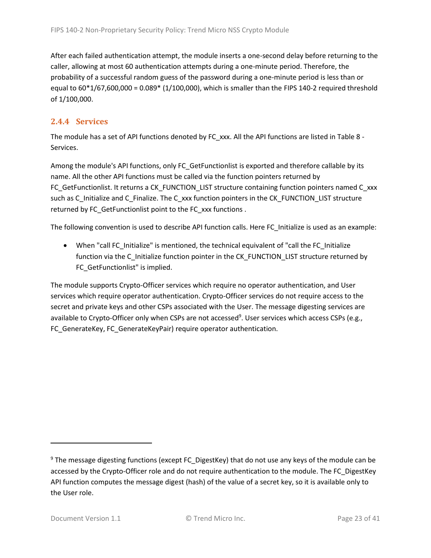After each failed authentication attempt, the module inserts a one-second delay before returning to the caller, allowing at most 60 authentication attempts during a one-minute period. Therefore, the probability of a successful random guess of the password during a one-minute period is less than or equal to 60\*1/67,600,000 = 0.089\* (1/100,000), which is smaller than the FIPS 140-2 required threshold of 1/100,000.

### <span id="page-22-0"></span>**2.4.4 Services**

The module has a set of API functions denoted by FC\_xxx. All the API functions are listed in [Table 8](#page-23-0) -[Services.](#page-23-0)

Among the module's API functions, only FC GetFunctionlist is exported and therefore callable by its name. All the other API functions must be called via the function pointers returned by FC GetFunctionlist. It returns a CK\_FUNCTION\_LIST structure containing function pointers named C\_xxx such as C\_Initialize and C\_Finalize. The C\_xxx function pointers in the CK\_FUNCTION\_LIST structure returned by FC\_GetFunctionlist point to the FC\_xxx functions .

The following convention is used to describe API function calls. Here FC\_Initialize is used as an example:

• When "call FC\_Initialize" is mentioned, the technical equivalent of "call the FC\_Initialize function via the C\_Initialize function pointer in the CK\_FUNCTION\_LIST structure returned by FC GetFunctionlist" is implied.

The module supports Crypto-Officer services which require no operator authentication, and User services which require operator authentication. Crypto-Officer services do not require access to the secret and private keys and other CSPs associated with the User. The message digesting services are available to Crypto-Officer only when CSPs are not accessed<sup>9</sup>. User services which access CSPs (e.g., FC\_GenerateKey, FC\_GenerateKeyPair) require operator authentication.

<sup>&</sup>lt;sup>9</sup> The message digesting functions (except FC\_DigestKey) that do not use any keys of the module can be accessed by the Crypto-Officer role and do not require authentication to the module. The FC\_DigestKey API function computes the message digest (hash) of the value of a secret key, so it is available only to the User role.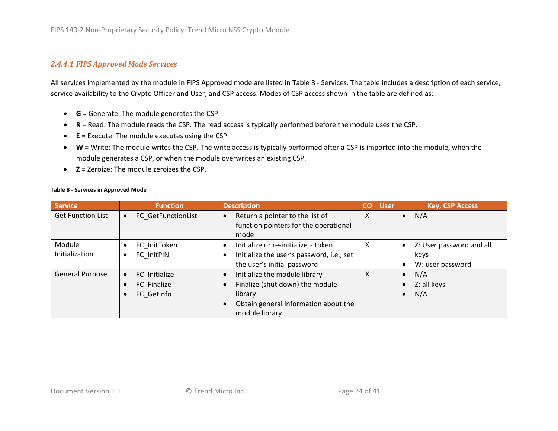#### *2.4.4.1 FIPS Approved Mode Services*

All services implemented by the module in FIPS Approved mode are listed in Table 8 - [Services.](#page-23-1) The table includes a description of each service, service availability to the Crypto Officer and User, and CSP access. Modes of CSP access shown in the table are defined as:

- **G** = Generate: The module generates the CSP.
- **R** = Read: The module reads the CSP. The read access is typically performed before the module uses the CSP.
- **E** = Execute: The module executes using the CSP.
- **W** = Write: The module writes the CSP. The write access is typically performed after a CSP is imported into the module, when the module generates a CSP, or when the module overwrites an existing CSP.
- **Z** = Zeroize: The module zeroizes the CSP.

<span id="page-23-1"></span>

|  |  |  |  | <b>Table 8 - Services in Approved Mode</b> |  |
|--|--|--|--|--------------------------------------------|--|
|--|--|--|--|--------------------------------------------|--|

<span id="page-23-0"></span>

| <b>Service</b>           | <b>Function</b>                                         | <b>Description</b>                                                                                                                                                           | $\overline{c}$ | <b>User</b> | <b>Key, CSP Access</b>                                 |
|--------------------------|---------------------------------------------------------|------------------------------------------------------------------------------------------------------------------------------------------------------------------------------|----------------|-------------|--------------------------------------------------------|
| <b>Get Function List</b> | <b>FC GetFunctionList</b><br>$\bullet$                  | Return a pointer to the list of<br>$\bullet$<br>function pointers for the operational<br>mode                                                                                | X              |             | $\bullet$ N/A                                          |
| Module<br>Initialization | FC InitToken<br>$\bullet$<br>FC InitPIN<br>$\bullet$    | Initialize or re-initialize a token<br>$\bullet$<br>Initialize the user's password, i.e., set<br>$\bullet$<br>the user's initial password                                    | X              |             | • Z: User password and all<br>keys<br>W: user password |
| <b>General Purpose</b>   | FC Initialize<br>$\bullet$<br>FC Finalize<br>FC GetInfo | Initialize the module library<br>$\bullet$<br>Finalize (shut down) the module<br>$\bullet$<br>library<br>Obtain general information about the<br>$\bullet$<br>module library | $\mathsf{x}$   |             | $\bullet$ N/A<br>$\bullet$ Z: all keys<br>N/A          |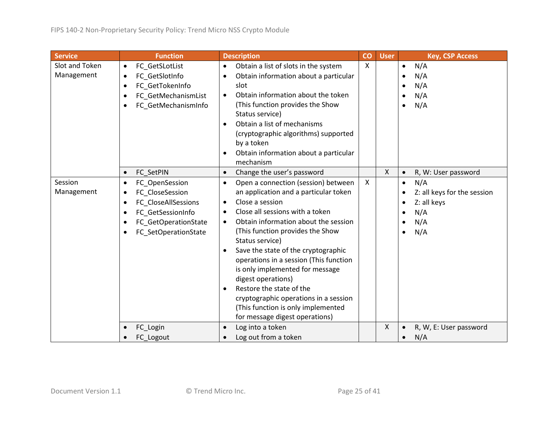| <b>Service</b>               | <b>Function</b>                                                                                                                                                                                | <b>Description</b>                                                                                                                                                                                                                                                                                                                                                                                                                                                                                                                                                                                     | co                        | <b>User</b> | <b>Key, CSP Access</b>                                                                                        |
|------------------------------|------------------------------------------------------------------------------------------------------------------------------------------------------------------------------------------------|--------------------------------------------------------------------------------------------------------------------------------------------------------------------------------------------------------------------------------------------------------------------------------------------------------------------------------------------------------------------------------------------------------------------------------------------------------------------------------------------------------------------------------------------------------------------------------------------------------|---------------------------|-------------|---------------------------------------------------------------------------------------------------------------|
| Slot and Token<br>Management | FC GetSLotList<br>$\bullet$<br>FC_GetSlotInfo<br>$\bullet$<br>FC GetTokenInfo<br>$\bullet$<br>FC_GetMechanismList<br>$\bullet$<br>FC_GetMechanismInfo<br>$\bullet$                             | Obtain a list of slots in the system<br>$\bullet$<br>Obtain information about a particular<br>$\bullet$<br>slot<br>Obtain information about the token<br>$\bullet$<br>(This function provides the Show<br>Status service)<br>Obtain a list of mechanisms<br>$\bullet$<br>(cryptographic algorithms) supported<br>by a token<br>Obtain information about a particular<br>$\bullet$<br>mechanism                                                                                                                                                                                                         | $\boldsymbol{\mathsf{X}}$ |             | N/A<br>$\bullet$<br>N/A<br>N/A<br>N/A<br>N/A<br>$\bullet$                                                     |
|                              | FC SetPIN<br>$\bullet$                                                                                                                                                                         | Change the user's password<br>$\bullet$                                                                                                                                                                                                                                                                                                                                                                                                                                                                                                                                                                |                           | X           | R, W: User password<br>$\bullet$                                                                              |
| Session<br>Management        | FC OpenSession<br>$\bullet$<br>FC CloseSession<br>$\bullet$<br>FC CloseAllSessions<br>$\bullet$<br>FC GetSessionInfo<br>$\bullet$<br>FC GetOperationState<br>$\bullet$<br>FC SetOperationState | Open a connection (session) between<br>$\bullet$<br>an application and a particular token<br>Close a session<br>$\bullet$<br>Close all sessions with a token<br>$\bullet$<br>Obtain information about the session<br>$\bullet$<br>(This function provides the Show<br>Status service)<br>Save the state of the cryptographic<br>$\bullet$<br>operations in a session (This function<br>is only implemented for message<br>digest operations)<br>Restore the state of the<br>$\bullet$<br>cryptographic operations in a session<br>(This function is only implemented<br>for message digest operations) | $\pmb{\times}$            |             | N/A<br>$\bullet$<br>Z: all keys for the session<br>Z: all keys<br>N/A<br>$\bullet$<br>N/A<br>N/A<br>$\bullet$ |
|                              | FC_Login<br>FC_Logout                                                                                                                                                                          | Log into a token<br>$\bullet$<br>Log out from a token<br>$\bullet$                                                                                                                                                                                                                                                                                                                                                                                                                                                                                                                                     |                           | X           | R, W, E: User password<br>N/A                                                                                 |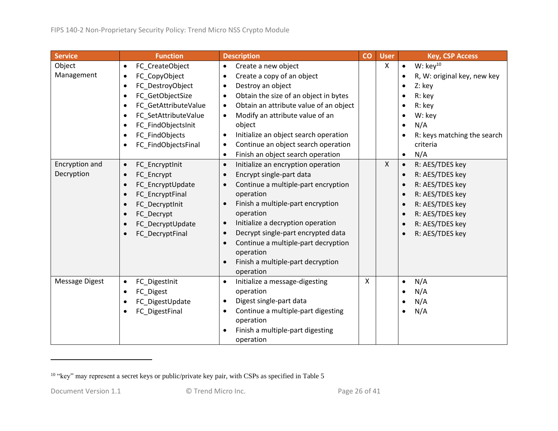| <b>Service</b>               | <b>Function</b>                                                                                                                                                                                                                                                                                              | <b>Description</b>                                                                                                                                                                                                                                                                                                                                                                                                                                            | co | <b>User</b>  | <b>Key, CSP Access</b>                                                                                                                                                               |
|------------------------------|--------------------------------------------------------------------------------------------------------------------------------------------------------------------------------------------------------------------------------------------------------------------------------------------------------------|---------------------------------------------------------------------------------------------------------------------------------------------------------------------------------------------------------------------------------------------------------------------------------------------------------------------------------------------------------------------------------------------------------------------------------------------------------------|----|--------------|--------------------------------------------------------------------------------------------------------------------------------------------------------------------------------------|
| Object<br>Management         | FC CreateObject<br>$\bullet$<br>FC_CopyObject<br>$\bullet$<br>FC_DestroyObject<br>$\bullet$<br>FC_GetObjectSize<br>$\bullet$<br>FC_GetAttributeValue<br>$\bullet$<br>FC SetAttributeValue<br>$\bullet$<br>FC_FindObjectsInit<br>$\bullet$<br>FC_FindObjects<br>$\bullet$<br>FC FindObjectsFinal<br>$\bullet$ | Create a new object<br>$\bullet$<br>Create a copy of an object<br>$\bullet$<br>Destroy an object<br>$\bullet$<br>Obtain the size of an object in bytes<br>$\bullet$<br>Obtain an attribute value of an object<br>$\bullet$<br>Modify an attribute value of an<br>$\bullet$<br>object<br>Initialize an object search operation<br>$\bullet$<br>Continue an object search operation<br>$\bullet$<br>Finish an object search operation<br>$\bullet$              |    | X            | W: $key^{10}$<br>$\bullet$<br>R, W: original key, new key<br>Z: key<br>R: key<br>R: key<br>W: key<br>N/A<br>R: keys matching the search<br>$\bullet$<br>criteria<br>N/A<br>$\bullet$ |
| Encryption and<br>Decryption | FC_EncryptInit<br>$\bullet$<br>FC_Encrypt<br>$\bullet$<br>FC_EncryptUpdate<br>$\bullet$<br>FC_EncryptFinal<br>$\bullet$<br>FC DecryptInit<br>FC Decrypt<br>$\bullet$<br>FC_DecryptUpdate<br>$\bullet$<br>FC_DecryptFinal<br>$\bullet$                                                                        | Initialize an encryption operation<br>$\bullet$<br>Encrypt single-part data<br>$\bullet$<br>Continue a multiple-part encryption<br>$\bullet$<br>operation<br>Finish a multiple-part encryption<br>$\bullet$<br>operation<br>Initialize a decryption operation<br>$\bullet$<br>Decrypt single-part encrypted data<br>$\bullet$<br>Continue a multiple-part decryption<br>$\bullet$<br>operation<br>Finish a multiple-part decryption<br>$\bullet$<br>operation |    | $\mathsf{X}$ | R: AES/TDES key<br>$\bullet$<br>R: AES/TDES key<br>$\bullet$<br>R: AES/TDES key<br>R: AES/TDES key<br>R: AES/TDES key<br>R: AES/TDES key<br>R: AES/TDES key<br>R: AES/TDES key       |
| <b>Message Digest</b>        | FC DigestInit<br>$\bullet$<br>FC Digest<br>$\bullet$<br>FC DigestUpdate<br>$\bullet$<br>FC_DigestFinal<br>$\bullet$                                                                                                                                                                                          | Initialize a message-digesting<br>$\bullet$<br>operation<br>Digest single-part data<br>$\bullet$<br>Continue a multiple-part digesting<br>$\bullet$<br>operation<br>Finish a multiple-part digesting<br>$\bullet$<br>operation                                                                                                                                                                                                                                | X  |              | N/A<br>$\bullet$<br>N/A<br>$\bullet$<br>N/A<br>$\bullet$<br>N/A                                                                                                                      |

<sup>&</sup>lt;sup>10</sup> "key" may represent a secret keys or public/private key pair, with CSPs as specified in [Table 5](#page-13-3)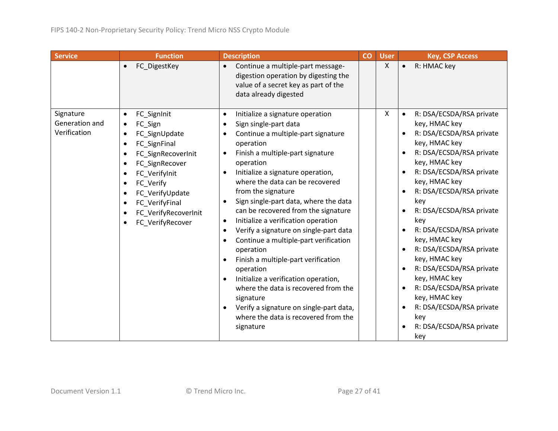| <b>Service</b>                              | <b>Function</b>                                                                                                                                                                                                                                                                                                | <b>Description</b>                                                                                                                                                                                                                                                                                                                                                                                                                                                                                                                                                                                                                                                                                                                                                                                                                                                                              | CO | <b>User</b> | <b>Key, CSP Access</b>                                                                                                                                                                                                                                                                                                                                                                                                                                                                                                                                                            |
|---------------------------------------------|----------------------------------------------------------------------------------------------------------------------------------------------------------------------------------------------------------------------------------------------------------------------------------------------------------------|-------------------------------------------------------------------------------------------------------------------------------------------------------------------------------------------------------------------------------------------------------------------------------------------------------------------------------------------------------------------------------------------------------------------------------------------------------------------------------------------------------------------------------------------------------------------------------------------------------------------------------------------------------------------------------------------------------------------------------------------------------------------------------------------------------------------------------------------------------------------------------------------------|----|-------------|-----------------------------------------------------------------------------------------------------------------------------------------------------------------------------------------------------------------------------------------------------------------------------------------------------------------------------------------------------------------------------------------------------------------------------------------------------------------------------------------------------------------------------------------------------------------------------------|
|                                             | FC DigestKey<br>$\bullet$                                                                                                                                                                                                                                                                                      | Continue a multiple-part message-<br>$\bullet$<br>digestion operation by digesting the<br>value of a secret key as part of the<br>data already digested                                                                                                                                                                                                                                                                                                                                                                                                                                                                                                                                                                                                                                                                                                                                         |    | X           | R: HMAC key<br>$\bullet$                                                                                                                                                                                                                                                                                                                                                                                                                                                                                                                                                          |
| Signature<br>Generation and<br>Verification | FC_SignInit<br>$\bullet$<br>FC_Sign<br>$\bullet$<br>FC SignUpdate<br>FC SignFinal<br>$\bullet$<br>FC SignRecoverInit<br>$\bullet$<br>FC_SignRecover<br>$\bullet$<br>FC Verifylnit<br>FC Verify<br>$\bullet$<br>FC_VerifyUpdate<br>FC_VerifyFinal<br>$\bullet$<br>FC_VerifyRecoverInit<br>FC_VerifyRecover<br>٠ | Initialize a signature operation<br>$\bullet$<br>Sign single-part data<br>$\bullet$<br>Continue a multiple-part signature<br>$\bullet$<br>operation<br>Finish a multiple-part signature<br>$\bullet$<br>operation<br>Initialize a signature operation,<br>$\bullet$<br>where the data can be recovered<br>from the signature<br>Sign single-part data, where the data<br>$\bullet$<br>can be recovered from the signature<br>Initialize a verification operation<br>$\bullet$<br>Verify a signature on single-part data<br>$\bullet$<br>Continue a multiple-part verification<br>$\bullet$<br>operation<br>Finish a multiple-part verification<br>$\bullet$<br>operation<br>Initialize a verification operation,<br>$\bullet$<br>where the data is recovered from the<br>signature<br>Verify a signature on single-part data,<br>$\bullet$<br>where the data is recovered from the<br>signature |    | X.          | R: DSA/ECSDA/RSA private<br>$\bullet$<br>key, HMAC key<br>R: DSA/ECSDA/RSA private<br>$\bullet$<br>key, HMAC key<br>R: DSA/ECSDA/RSA private<br>key, HMAC key<br>R: DSA/ECSDA/RSA private<br>$\bullet$<br>key, HMAC key<br>R: DSA/ECSDA/RSA private<br>key<br>R: DSA/ECSDA/RSA private<br>$\bullet$<br>key<br>R: DSA/ECSDA/RSA private<br>key, HMAC key<br>R: DSA/ECSDA/RSA private<br>$\bullet$<br>key, HMAC key<br>R: DSA/ECSDA/RSA private<br>key, HMAC key<br>R: DSA/ECSDA/RSA private<br>key, HMAC key<br>R: DSA/ECSDA/RSA private<br>key<br>R: DSA/ECSDA/RSA private<br>key |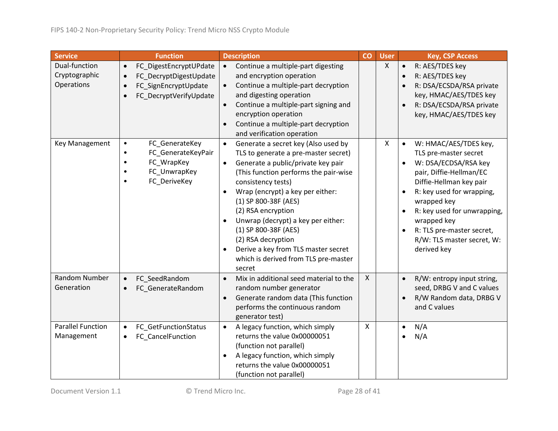| <b>Service</b>                               | <b>Function</b>                                                                                                                                        | <b>Description</b>                                                                                                                                                                                                                                                                                                                                                                                                                                                                                  | CO           | <b>User</b>  | <b>Key, CSP Access</b>                                                                                                                                                                                                                                                                                                     |
|----------------------------------------------|--------------------------------------------------------------------------------------------------------------------------------------------------------|-----------------------------------------------------------------------------------------------------------------------------------------------------------------------------------------------------------------------------------------------------------------------------------------------------------------------------------------------------------------------------------------------------------------------------------------------------------------------------------------------------|--------------|--------------|----------------------------------------------------------------------------------------------------------------------------------------------------------------------------------------------------------------------------------------------------------------------------------------------------------------------------|
| Dual-function<br>Cryptographic<br>Operations | FC_DigestEncryptUPdate<br>$\bullet$<br>FC_DecryptDigestUpdate<br>$\bullet$<br>FC_SignEncryptUpdate<br>$\bullet$<br>FC_DecryptVerifyUpdate<br>$\bullet$ | Continue a multiple-part digesting<br>$\bullet$<br>and encryption operation<br>Continue a multiple-part decryption<br>$\bullet$<br>and digesting operation<br>Continue a multiple-part signing and<br>$\bullet$<br>encryption operation<br>Continue a multiple-part decryption<br>and verification operation                                                                                                                                                                                        |              | $\mathsf{X}$ | R: AES/TDES key<br>$\bullet$<br>R: AES/TDES key<br>$\bullet$<br>R: DSA/ECSDA/RSA private<br>key, HMAC/AES/TDES key<br>R: DSA/ECSDA/RSA private<br>$\bullet$<br>key, HMAC/AES/TDES key                                                                                                                                      |
| Key Management                               | FC_GenerateKey<br>$\bullet$<br>FC_GenerateKeyPair<br>$\bullet$<br>FC_WrapKey<br>$\bullet$<br>FC_UnwrapKey<br>$\bullet$<br>FC_DeriveKey<br>$\bullet$    | Generate a secret key (Also used by<br>$\bullet$<br>TLS to generate a pre-master secret)<br>Generate a public/private key pair<br>$\bullet$<br>(This function performs the pair-wise<br>consistency tests)<br>Wrap (encrypt) a key per either:<br>$\bullet$<br>(1) SP 800-38F (AES)<br>(2) RSA encryption<br>Unwrap (decrypt) a key per either:<br>(1) SP 800-38F (AES)<br>(2) RSA decryption<br>Derive a key from TLS master secret<br>$\bullet$<br>which is derived from TLS pre-master<br>secret |              | X            | W: HMAC/AES/TDES key,<br>$\bullet$<br>TLS pre-master secret<br>W: DSA/ECDSA/RSA key<br>pair, Diffie-Hellman/EC<br>Diffie-Hellman key pair<br>R: key used for wrapping,<br>wrapped key<br>R: key used for unwrapping,<br>$\bullet$<br>wrapped key<br>R: TLS pre-master secret,<br>R/W: TLS master secret, W:<br>derived key |
| Random Number<br>Generation                  | FC SeedRandom<br>$\bullet$<br>FC_GenerateRandom<br>$\bullet$                                                                                           | Mix in additional seed material to the<br>$\bullet$<br>random number generator<br>Generate random data (This function<br>$\bullet$<br>performs the continuous random<br>generator test)                                                                                                                                                                                                                                                                                                             | $\mathsf{X}$ |              | R/W: entropy input string,<br>$\bullet$<br>seed, DRBG V and C values<br>R/W Random data, DRBG V<br>and C values                                                                                                                                                                                                            |
| <b>Parallel Function</b><br>Management       | FC_GetFunctionStatus<br>$\bullet$<br>FC_CancelFunction<br>$\bullet$                                                                                    | A legacy function, which simply<br>$\bullet$<br>returns the value 0x00000051<br>(function not parallel)<br>A legacy function, which simply<br>$\bullet$<br>returns the value 0x00000051<br>(function not parallel)                                                                                                                                                                                                                                                                                  | $\mathsf{X}$ |              | N/A<br>$\bullet$<br>N/A                                                                                                                                                                                                                                                                                                    |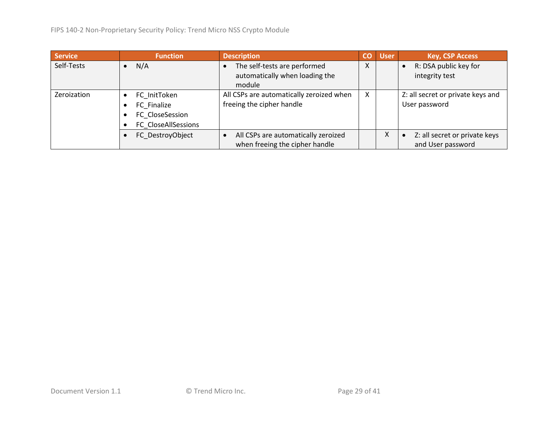| <b>Service</b> | <b>Function</b>     | <b>Description</b>                       | CO | <b>User</b> | <b>Key, CSP Access</b>            |
|----------------|---------------------|------------------------------------------|----|-------------|-----------------------------------|
| Self-Tests     | N/A                 | The self-tests are performed             | X  |             | R: DSA public key for             |
|                |                     | automatically when loading the           |    |             | integrity test                    |
|                |                     | module                                   |    |             |                                   |
| Zeroization    | FC InitToken        | All CSPs are automatically zeroized when | X  |             | Z: all secret or private keys and |
|                | FC Finalize         | freeing the cipher handle                |    |             | User password                     |
|                | FC CloseSession     |                                          |    |             |                                   |
|                | FC CloseAllSessions |                                          |    |             |                                   |
|                | FC DestroyObject    | All CSPs are automatically zeroized      |    | X           | Z: all secret or private keys     |
|                |                     | when freeing the cipher handle           |    |             | and User password                 |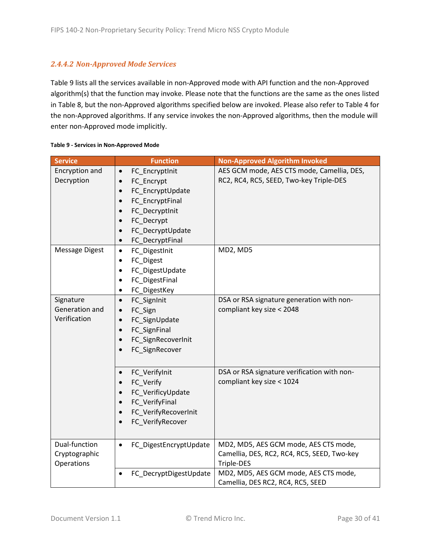### *2.4.4.2 Non-Approved Mode Services*

[Table 9](#page-29-0) lists all the services available in non-Approved mode with API function and the non-Approved algorithm(s) that the function may invoke. Please note that the functions are the same as the ones listed in [Table 8,](#page-23-0) but the non-Approved algorithms specified below are invoked. Please also refer to [Table 4](#page-11-3) for the non-Approved algorithms. If any service invokes the non-Approved algorithms, then the module will enter non-Approved mode implicitly.

| <b>Service</b>                               | <b>Function</b>                                                                                                                                         | <b>Non-Approved Algorithm Invoked</b>                                                              |
|----------------------------------------------|---------------------------------------------------------------------------------------------------------------------------------------------------------|----------------------------------------------------------------------------------------------------|
| Encryption and<br>Decryption                 | FC_EncryptInit<br>$\bullet$<br>FC_Encrypt<br>FC_EncryptUpdate<br>FC_EncryptFinal<br>FC_DecryptInit<br>FC_Decrypt<br>FC_DecryptUpdate<br>FC_DecryptFinal | AES GCM mode, AES CTS mode, Camellia, DES,<br>RC2, RC4, RC5, SEED, Two-key Triple-DES              |
| <b>Message Digest</b>                        | FC_DigestInit<br>$\bullet$<br>FC_Digest<br>FC_DigestUpdate<br>FC_DigestFinal<br>FC_DigestKey<br>٠                                                       | MD2, MD5                                                                                           |
| Signature<br>Generation and<br>Verification  | FC_SignInit<br>$\bullet$<br>FC_Sign<br>FC_SignUpdate<br>$\bullet$<br>FC_SignFinal<br>FC_SignRecoverInit<br>FC_SignRecover                               | DSA or RSA signature generation with non-<br>compliant key size < 2048                             |
|                                              | FC_VerifyInit<br>FC Verify<br>FC_VerificyUpdate<br>FC VerifyFinal<br>FC_VerifyRecoverInit<br>FC_VerifyRecover                                           | DSA or RSA signature verification with non-<br>compliant key size < 1024                           |
| Dual-function<br>Cryptographic<br>Operations | FC_DigestEncryptUpdate<br>$\bullet$                                                                                                                     | MD2, MD5, AES GCM mode, AES CTS mode,<br>Camellia, DES, RC2, RC4, RC5, SEED, Two-key<br>Triple-DES |
|                                              | FC_DecryptDigestUpdate                                                                                                                                  | MD2, MD5, AES GCM mode, AES CTS mode,<br>Camellia, DES RC2, RC4, RC5, SEED                         |

#### <span id="page-29-0"></span>**Table 9 - Services in Non-Approved Mode**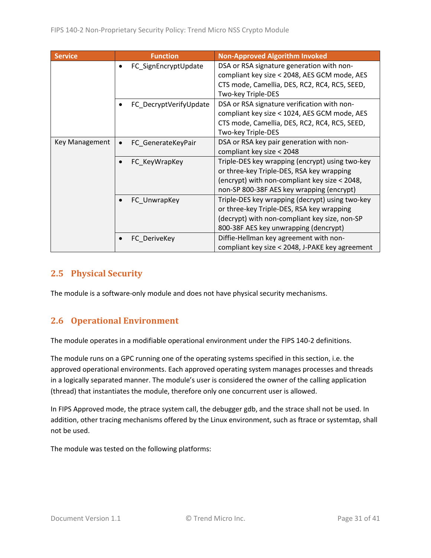| <b>Service</b> | <b>Function</b>                 | <b>Non-Approved Algorithm Invoked</b>                                                                                                                                                      |
|----------------|---------------------------------|--------------------------------------------------------------------------------------------------------------------------------------------------------------------------------------------|
|                | FC SignEncryptUpdate            | DSA or RSA signature generation with non-<br>compliant key size < 2048, AES GCM mode, AES<br>CTS mode, Camellia, DES, RC2, RC4, RC5, SEED,<br>Two-key Triple-DES                           |
|                | FC_DecryptVerifyUpdate          | DSA or RSA signature verification with non-<br>compliant key size < 1024, AES GCM mode, AES<br>CTS mode, Camellia, DES, RC2, RC4, RC5, SEED,<br>Two-key Triple-DES                         |
| Key Management | FC GenerateKeyPair<br>$\bullet$ | DSA or RSA key pair generation with non-<br>compliant key size < 2048                                                                                                                      |
|                | FC_KeyWrapKey                   | Triple-DES key wrapping (encrypt) using two-key<br>or three-key Triple-DES, RSA key wrapping<br>(encrypt) with non-compliant key size < 2048,<br>non-SP 800-38F AES key wrapping (encrypt) |
|                | FC_UnwrapKey                    | Triple-DES key wrapping (decrypt) using two-key<br>or three-key Triple-DES, RSA key wrapping<br>(decrypt) with non-compliant key size, non-SP<br>800-38F AES key unwrapping (dencrypt)     |
|                | FC DeriveKey                    | Diffie-Hellman key agreement with non-<br>compliant key size < 2048, J-PAKE key agreement                                                                                                  |

# <span id="page-30-0"></span>**2.5 Physical Security**

The module is a software-only module and does not have physical security mechanisms.

# <span id="page-30-1"></span>**2.6 Operational Environment**

The module operates in a modifiable operational environment under the FIPS 140-2 definitions.

The module runs on a GPC running one of the operating systems specified in this section, i.e. the approved operational environments. Each approved operating system manages processes and threads in a logically separated manner. The module's user is considered the owner of the calling application (thread) that instantiates the module, therefore only one concurrent user is allowed.

In FIPS Approved mode, the ptrace system call, the debugger gdb, and the strace shall not be used. In addition, other tracing mechanisms offered by the Linux environment, such as ftrace or systemtap, shall not be used.

The module was tested on the following platforms: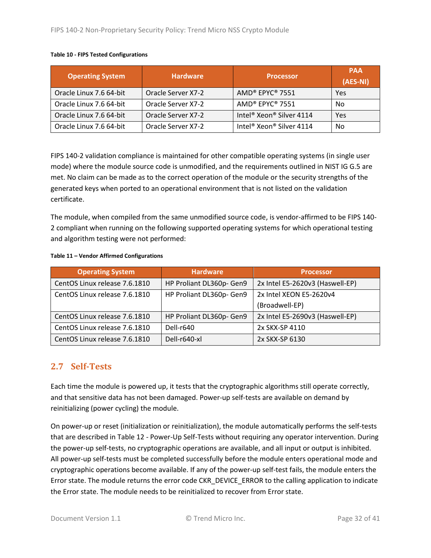#### **Table 10 - FIPS Tested Configurations**

| <b>Operating System</b> | <b>Hardware</b>    | <b>Processor</b>                                 | <b>PAA</b><br>(AES-NI) |
|-------------------------|--------------------|--------------------------------------------------|------------------------|
| Oracle Linux 7.6 64-bit | Oracle Server X7-2 | AMD® EPYC® 7551                                  | Yes                    |
| Oracle Linux 7.6 64-bit | Oracle Server X7-2 | AMD® EPYC® 7551                                  | No                     |
| Oracle Linux 7.6 64-bit | Oracle Server X7-2 | Intel <sup>®</sup> Xeon <sup>®</sup> Silver 4114 | Yes                    |
| Oracle Linux 7.6 64-bit | Oracle Server X7-2 | Intel <sup>®</sup> Xeon <sup>®</sup> Silver 4114 | No                     |

FIPS 140-2 validation compliance is maintained for other compatible operating systems (in single user mode) where the module source code is unmodified, and the requirements outlined in NIST IG G.5 are met. No claim can be made as to the correct operation of the module or the security strengths of the generated keys when ported to an operational environment that is not listed on the validation certificate.

The module, when compiled from the same unmodified source code, is vendor-affirmed to be FIPS 140- 2 compliant when running on the following supported operating systems for which operational testing and algorithm testing were not performed:

#### **Table 11 – Vendor Affirmed Configurations**

| <b>Operating System</b>       | <b>Hardware</b>          | <b>Processor</b>                |
|-------------------------------|--------------------------|---------------------------------|
| CentOS Linux release 7.6.1810 | HP Proliant DL360p- Gen9 | 2x Intel E5-2620v3 (Haswell-EP) |
| CentOS Linux release 7.6.1810 | HP Proliant DL360p- Gen9 | 2x Intel XEON E5-2620v4         |
|                               |                          | (Broadwell-EP)                  |
| CentOS Linux release 7.6.1810 | HP Proliant DL360p- Gen9 | 2x Intel E5-2690v3 (Haswell-EP) |
| CentOS Linux release 7.6.1810 | Dell-r640                | 2x SKX-SP 4110                  |
| CentOS Linux release 7.6.1810 | Dell-r640-xl             | 2x SKX-SP 6130                  |

### <span id="page-31-0"></span>**2.7 Self-Tests**

Each time the module is powered up, it tests that the cryptographic algorithms still operate correctly, and that sensitive data has not been damaged. Power-up self-tests are available on demand by reinitializing (power cycling) the module.

On power-up or reset (initialization or reinitialization), the module automatically performs the self-tests that are described in Table 12 - [Power-Up Self-Tests](#page-32-2) without requiring any operator intervention. During the power-up self-tests, no cryptographic operations are available, and all input or output is inhibited. All power-up self-tests must be completed successfully before the module enters operational mode and cryptographic operations become available. If any of the power-up self-test fails, the module enters the Error state. The module returns the error code CKR\_DEVICE\_ERROR to the calling application to indicate the Error state. The module needs to be reinitialized to recover from Error state.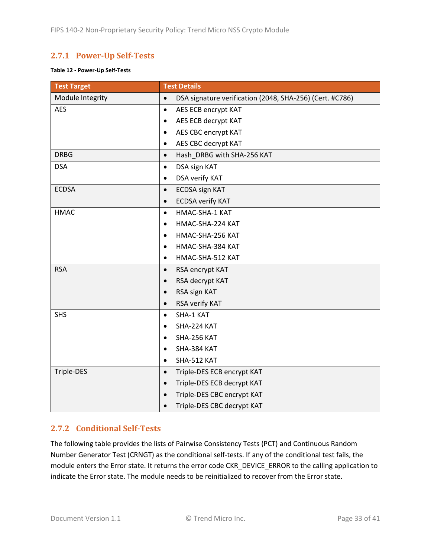# <span id="page-32-0"></span>**2.7.1 Power-Up Self-Tests**

#### <span id="page-32-2"></span>**Table 12 - Power-Up Self-Tests**

| <b>Test Target</b> | <b>Test Details</b>                                                   |
|--------------------|-----------------------------------------------------------------------|
| Module Integrity   | DSA signature verification (2048, SHA-256) (Cert. #C786)<br>$\bullet$ |
| <b>AES</b>         | AES ECB encrypt KAT<br>$\bullet$                                      |
|                    | AES ECB decrypt KAT<br>$\bullet$                                      |
|                    | AES CBC encrypt KAT<br>$\bullet$                                      |
|                    | AES CBC decrypt KAT<br>$\bullet$                                      |
| <b>DRBG</b>        | Hash_DRBG with SHA-256 KAT<br>$\bullet$                               |
| <b>DSA</b>         | DSA sign KAT<br>$\bullet$                                             |
|                    | DSA verify KAT<br>$\bullet$                                           |
| <b>ECDSA</b>       | <b>ECDSA sign KAT</b><br>$\bullet$                                    |
|                    | <b>ECDSA verify KAT</b><br>$\bullet$                                  |
| <b>HMAC</b>        | HMAC-SHA-1 KAT<br>$\bullet$                                           |
|                    | HMAC-SHA-224 KAT<br>$\bullet$                                         |
|                    | HMAC-SHA-256 KAT<br>$\bullet$                                         |
|                    | HMAC-SHA-384 KAT<br>$\bullet$                                         |
|                    | HMAC-SHA-512 KAT<br>$\bullet$                                         |
| <b>RSA</b>         | RSA encrypt KAT<br>$\bullet$                                          |
|                    | RSA decrypt KAT<br>$\bullet$                                          |
|                    | RSA sign KAT<br>$\bullet$                                             |
|                    | RSA verify KAT<br>$\bullet$                                           |
| <b>SHS</b>         | SHA-1 KAT<br>$\bullet$                                                |
|                    | SHA-224 KAT<br>$\bullet$                                              |
|                    | SHA-256 KAT<br>$\bullet$                                              |
|                    | SHA-384 KAT<br>$\bullet$                                              |
|                    | SHA-512 KAT<br>$\bullet$                                              |
| Triple-DES         | Triple-DES ECB encrypt KAT<br>$\bullet$                               |
|                    | Triple-DES ECB decrypt KAT<br>$\bullet$                               |
|                    | Triple-DES CBC encrypt KAT                                            |
|                    | Triple-DES CBC decrypt KAT                                            |

#### <span id="page-32-1"></span>**2.7.2 Conditional Self-Tests**

The following table provides the lists of Pairwise Consistency Tests (PCT) and Continuous Random Number Generator Test (CRNGT) as the conditional self-tests. If any of the conditional test fails, the module enters the Error state. It returns the error code CKR\_DEVICE\_ERROR to the calling application to indicate the Error state. The module needs to be reinitialized to recover from the Error state.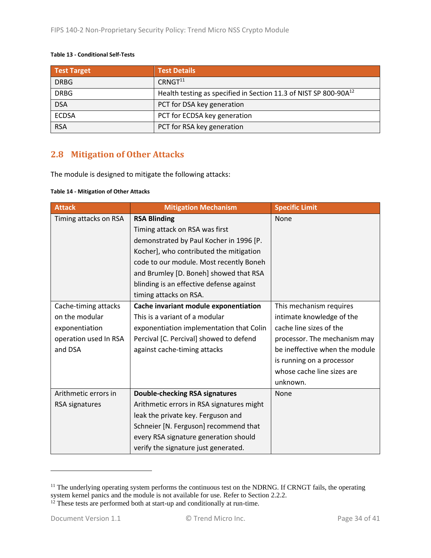#### **Table 13 - Conditional Self-Tests**

| <b>Test Target</b> | <b>Test Details</b>                                                          |
|--------------------|------------------------------------------------------------------------------|
| <b>DRBG</b>        | CRNGT <sup>11</sup>                                                          |
| <b>DRBG</b>        | Health testing as specified in Section 11.3 of NIST SP 800-90A <sup>12</sup> |
| <b>DSA</b>         | PCT for DSA key generation                                                   |
| <b>ECDSA</b>       | PCT for ECDSA key generation                                                 |
| <b>RSA</b>         | PCT for RSA key generation                                                   |

## <span id="page-33-0"></span>**2.8 Mitigation of Other Attacks**

The module is designed to mitigate the following attacks:

#### **Table 14 - Mitigation of Other Attacks**

| <b>Attack</b>         | <b>Mitigation Mechanism</b>               | <b>Specific Limit</b>          |
|-----------------------|-------------------------------------------|--------------------------------|
| Timing attacks on RSA | <b>RSA Blinding</b>                       | None                           |
|                       | Timing attack on RSA was first            |                                |
|                       | demonstrated by Paul Kocher in 1996 [P.   |                                |
|                       | Kocher], who contributed the mitigation   |                                |
|                       | code to our module. Most recently Boneh   |                                |
|                       | and Brumley [D. Boneh] showed that RSA    |                                |
|                       | blinding is an effective defense against  |                                |
|                       | timing attacks on RSA.                    |                                |
| Cache-timing attacks  | Cache invariant module exponentiation     | This mechanism requires        |
| on the modular        | This is a variant of a modular            | intimate knowledge of the      |
| exponentiation        | exponentiation implementation that Colin  | cache line sizes of the        |
| operation used In RSA | Percival [C. Percival] showed to defend   | processor. The mechanism may   |
| and DSA               | against cache-timing attacks              | be ineffective when the module |
|                       |                                           | is running on a processor      |
|                       |                                           | whose cache line sizes are     |
|                       |                                           | unknown.                       |
| Arithmetic errors in  | <b>Double-checking RSA signatures</b>     | None                           |
| RSA signatures        | Arithmetic errors in RSA signatures might |                                |
|                       | leak the private key. Ferguson and        |                                |
|                       | Schneier [N. Ferguson] recommend that     |                                |
|                       | every RSA signature generation should     |                                |
|                       | verify the signature just generated.      |                                |

<sup>&</sup>lt;sup>11</sup> The underlying operating system performs the continuous test on the NDRNG. If CRNGT fails, the operating system kernel panics and the module is not available for use. Refer to Section [2.2.2.](#page-15-0)

 $12$  These tests are performed both at start-up and conditionally at run-time.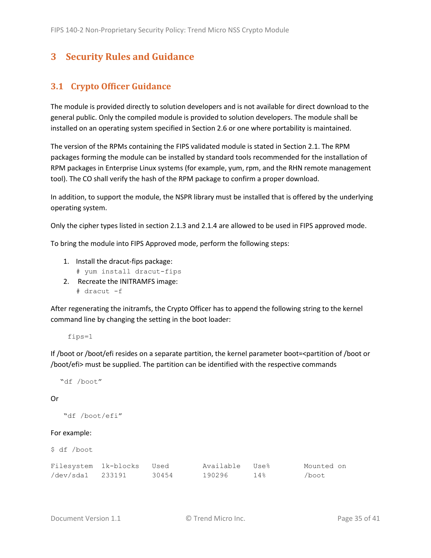# <span id="page-34-0"></span>**3 Security Rules and Guidance**

## <span id="page-34-1"></span>**3.1 Crypto Officer Guidance**

The module is provided directly to solution developers and is not available for direct download to the general public. Only the compiled module is provided to solution developers. The module shall be installed on an operating system specified in Section [2.6](#page-30-1) or one where portability is maintained.

The version of the RPMs containing the FIPS validated module is stated in Section [2.1.](#page-6-1) The RPM packages forming the module can be installed by standard tools recommended for the installation of RPM packages in Enterprise Linux systems (for example, yum, rpm, and the RHN remote management tool). The CO shall verify the hash of the RPM package to confirm a proper download.

In addition, to support the module, the NSPR library must be installed that is offered by the underlying operating system.

Only the cipher types listed in section [2.1.3](#page-8-0) and [2.1.4](#page-11-0) are allowed to be used in FIPS approved mode.

To bring the module into FIPS Approved mode, perform the following steps:

- 1. Install the dracut-fips package:
	- # yum install dracut-fips
- 2. Recreate the INITRAMFS image: # dracut -f

After regenerating the initramfs, the Crypto Officer has to append the following string to the kernel command line by changing the setting in the boot loader:

fips=1

If /boot or /boot/efi resides on a separate partition, the kernel parameter boot=<partition of /boot or /boot/efi> must be supplied. The partition can be identified with the respective commands

```
 "df /boot"
```
#### Or

```
 "df /boot/efi"
```
#### For example:

|  | \$ df /boot |  |
|--|-------------|--|
|--|-------------|--|

| Filesystem 1k-blocks | Used  | Available Use% |     | Mounted on |
|----------------------|-------|----------------|-----|------------|
| /dev/sda1 233191     | 30454 | 190296         | 14% | /boot      |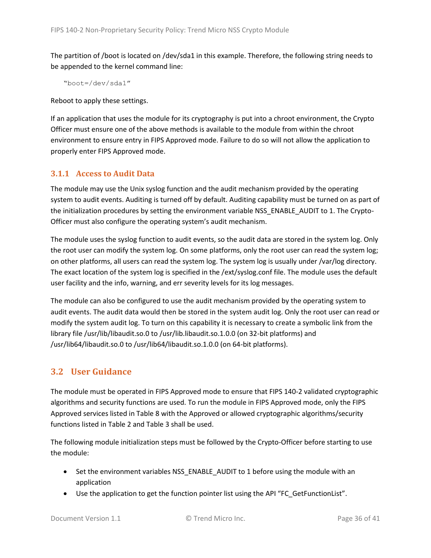The partition of /boot is located on /dev/sda1 in this example. Therefore, the following string needs to be appended to the kernel command line:

```
 "boot=/dev/sda1"
```
Reboot to apply these settings.

If an application that uses the module for its cryptography is put into a chroot environment, the Crypto Officer must ensure one of the above methods is available to the module from within the chroot environment to ensure entry in FIPS Approved mode. Failure to do so will not allow the application to properly enter FIPS Approved mode.

### <span id="page-35-0"></span>**3.1.1 Access to Audit Data**

The module may use the Unix syslog function and the audit mechanism provided by the operating system to audit events. Auditing is turned off by default. Auditing capability must be turned on as part of the initialization procedures by setting the environment variable NSS\_ENABLE\_AUDIT to 1. The Crypto-Officer must also configure the operating system's audit mechanism.

The module uses the syslog function to audit events, so the audit data are stored in the system log. Only the root user can modify the system log. On some platforms, only the root user can read the system log; on other platforms, all users can read the system log. The system log is usually under /var/log directory. The exact location of the system log is specified in the /ext/syslog.conf file. The module uses the default user facility and the info, warning, and err severity levels for its log messages.

The module can also be configured to use the audit mechanism provided by the operating system to audit events. The audit data would then be stored in the system audit log. Only the root user can read or modify the system audit log. To turn on this capability it is necessary to create a symbolic link from the library file /usr/lib/libaudit.so.0 to /usr/lib.libaudit.so.1.0.0 (on 32-bit platforms) and /usr/lib64/libaudit.so.0 to /usr/lib64/libaudit.so.1.0.0 (on 64-bit platforms).

## <span id="page-35-1"></span>**3.2 User Guidance**

The module must be operated in FIPS Approved mode to ensure that FIPS 140-2 validated cryptographic algorithms and security functions are used. To run the module in FIPS Approved mode, only the FIPS Approved services listed in [Table 8](#page-23-0) with the Approved or allowed cryptographic algorithms/security functions listed i[n Table 2](#page-8-1) and [Table 3](#page-11-2) shall be used.

The following module initialization steps must be followed by the Crypto-Officer before starting to use the module:

- Set the environment variables NSS\_ENABLE\_AUDIT to 1 before using the module with an application
- Use the application to get the function pointer list using the API "FC\_GetFunctionList".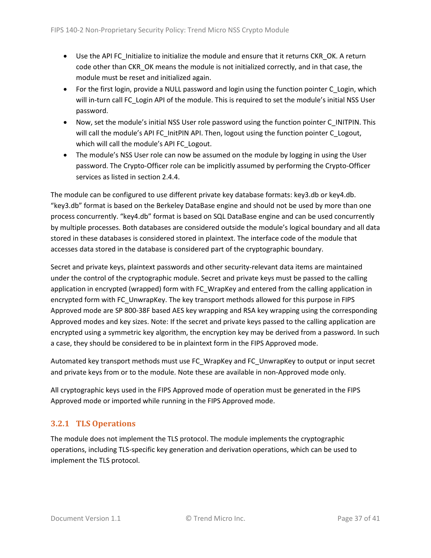- Use the API FC\_Initialize to initialize the module and ensure that it returns CKR\_OK. A return code other than CKR\_OK means the module is not initialized correctly, and in that case, the module must be reset and initialized again.
- For the first login, provide a NULL password and login using the function pointer C Login, which will in-turn call FC Login API of the module. This is required to set the module's initial NSS User password.
- Now, set the module's initial NSS User role password using the function pointer C\_INITPIN. This will call the module's API FC\_InitPIN API. Then, logout using the function pointer C\_Logout, which will call the module's API FC\_Logout.
- The module's NSS User role can now be assumed on the module by logging in using the User password. The Crypto-Officer role can be implicitly assumed by performing the Crypto-Officer services as listed in sectio[n 2.4.4.](#page-22-0)

The module can be configured to use different private key database formats: key3.db or key4.db. "key3.db" format is based on the Berkeley DataBase engine and should not be used by more than one process concurrently. "key4.db" format is based on SQL DataBase engine and can be used concurrently by multiple processes. Both databases are considered outside the module's logical boundary and all data stored in these databases is considered stored in plaintext. The interface code of the module that accesses data stored in the database is considered part of the cryptographic boundary.

Secret and private keys, plaintext passwords and other security-relevant data items are maintained under the control of the cryptographic module. Secret and private keys must be passed to the calling application in encrypted (wrapped) form with FC\_WrapKey and entered from the calling application in encrypted form with FC\_UnwrapKey. The key transport methods allowed for this purpose in FIPS Approved mode are SP 800-38F based AES key wrapping and RSA key wrapping using the corresponding Approved modes and key sizes. Note: If the secret and private keys passed to the calling application are encrypted using a symmetric key algorithm, the encryption key may be derived from a password. In such a case, they should be considered to be in plaintext form in the FIPS Approved mode.

Automated key transport methods must use FC\_WrapKey and FC\_UnwrapKey to output or input secret and private keys from or to the module. Note these are available in non-Approved mode only.

All cryptographic keys used in the FIPS Approved mode of operation must be generated in the FIPS Approved mode or imported while running in the FIPS Approved mode.

## <span id="page-36-0"></span>**3.2.1 TLS Operations**

The module does not implement the TLS protocol. The module implements the cryptographic operations, including TLS-specific key generation and derivation operations, which can be used to implement the TLS protocol.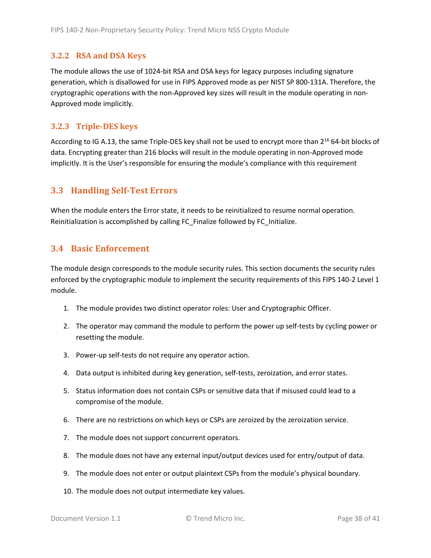#### <span id="page-37-0"></span>**3.2.2 RSA and DSA Keys**

The module allows the use of 1024-bit RSA and DSA keys for legacy purposes including signature generation, which is disallowed for use in FIPS Approved mode as per NIST SP 800-131A. Therefore, the cryptographic operations with the non-Approved key sizes will result in the module operating in non-Approved mode implicitly.

### <span id="page-37-1"></span>**3.2.3 Triple-DES keys**

According to IG A.13, the same Triple-DES key shall not be used to encrypt more than 2<sup>16</sup> 64-bit blocks of data. Encrypting greater than 216 blocks will result in the module operating in non-Approved mode implicitly. It is the User's responsible for ensuring the module's compliance with this requirement

## <span id="page-37-2"></span>**3.3 Handling Self-Test Errors**

When the module enters the Error state, it needs to be reinitialized to resume normal operation. Reinitialization is accomplished by calling FC\_Finalize followed by FC\_Initialize.

### <span id="page-37-3"></span>**3.4 Basic Enforcement**

The module design corresponds to the module security rules. This section documents the security rules enforced by the cryptographic module to implement the security requirements of this FIPS 140-2 Level 1 module.

- 1. The module provides two distinct operator roles: User and Cryptographic Officer.
- 2. The operator may command the module to perform the power up self-tests by cycling power or resetting the module.
- 3. Power-up self-tests do not require any operator action.
- 4. Data output is inhibited during key generation, self-tests, zeroization, and error states.
- 5. Status information does not contain CSPs or sensitive data that if misused could lead to a compromise of the module.
- 6. There are no restrictions on which keys or CSPs are zeroized by the zeroization service.
- 7. The module does not support concurrent operators.
- 8. The module does not have any external input/output devices used for entry/output of data.
- 9. The module does not enter or output plaintext CSPs from the module's physical boundary.
- 10. The module does not output intermediate key values.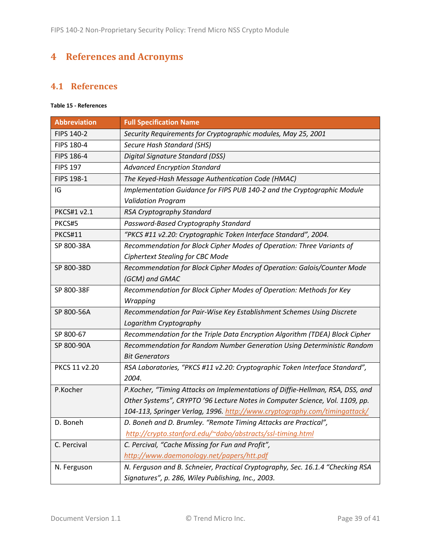# <span id="page-38-0"></span>**4 References and Acronyms**

## <span id="page-38-1"></span>**4.1 References**

### **Table 15 - References**

| <b>Abbreviation</b> | <b>Full Specification Name</b>                                                 |
|---------------------|--------------------------------------------------------------------------------|
| FIPS 140-2          | Security Requirements for Cryptographic modules, May 25, 2001                  |
| FIPS 180-4          | Secure Hash Standard (SHS)                                                     |
| FIPS 186-4          | Digital Signature Standard (DSS)                                               |
| <b>FIPS 197</b>     | <b>Advanced Encryption Standard</b>                                            |
| FIPS 198-1          | The Keyed-Hash Message Authentication Code (HMAC)                              |
| IG                  | Implementation Guidance for FIPS PUB 140-2 and the Cryptographic Module        |
|                     | <b>Validation Program</b>                                                      |
| PKCS#1 v2.1         | RSA Cryptography Standard                                                      |
| PKCS#5              | Password-Based Cryptography Standard                                           |
| PKCS#11             | "PKCS #11 v2.20: Cryptographic Token Interface Standard", 2004.                |
| SP 800-38A          | Recommendation for Block Cipher Modes of Operation: Three Variants of          |
|                     | <b>Ciphertext Stealing for CBC Mode</b>                                        |
| SP 800-38D          | Recommendation for Block Cipher Modes of Operation: Galois/Counter Mode        |
|                     | (GCM) and GMAC                                                                 |
| SP 800-38F          | Recommendation for Block Cipher Modes of Operation: Methods for Key            |
|                     | Wrapping                                                                       |
| SP 800-56A          | Recommendation for Pair-Wise Key Establishment Schemes Using Discrete          |
|                     | Logarithm Cryptography                                                         |
| SP 800-67           | Recommendation for the Triple Data Encryption Algorithm (TDEA) Block Cipher    |
| SP 800-90A          | Recommendation for Random Number Generation Using Deterministic Random         |
|                     | <b>Bit Generators</b>                                                          |
| PKCS 11 v2.20       | RSA Laboratories, "PKCS #11 v2.20: Cryptographic Token Interface Standard",    |
|                     | 2004.                                                                          |
| P.Kocher            | P.Kocher, "Timing Attacks on Implementations of Diffie-Hellman, RSA, DSS, and  |
|                     | Other Systems", CRYPTO '96 Lecture Notes in Computer Science, Vol. 1109, pp.   |
|                     | 104-113, Springer Verlag, 1996. http://www.cryptography.com/timingattack/      |
| D. Boneh            | D. Boneh and D. Brumley. "Remote Timing Attacks are Practical",                |
|                     | http://crypto.stanford.edu/~dabo/abstracts/ssl-timing.html                     |
| C. Percival         | C. Percival, "Cache Missing for Fun and Profit",                               |
|                     | http://www.daemonology.net/papers/htt.pdf                                      |
| N. Ferguson         | N. Ferguson and B. Schneier, Practical Cryptography, Sec. 16.1.4 "Checking RSA |
|                     | Signatures", p. 286, Wiley Publishing, Inc., 2003.                             |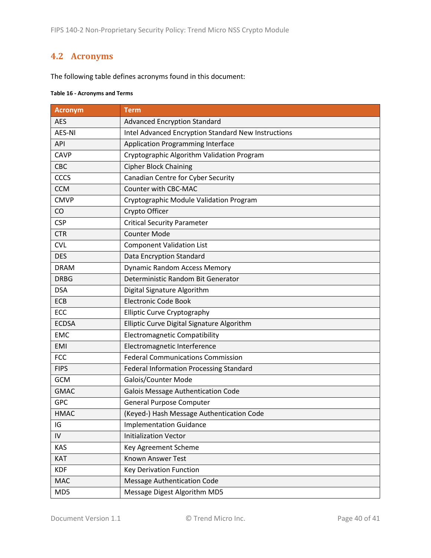# <span id="page-39-0"></span>**4.2 Acronyms**

The following table defines acronyms found in this document:

#### **Table 16 - Acronyms and Terms**

| <b>Acronym</b> | <b>Term</b>                                         |
|----------------|-----------------------------------------------------|
| <b>AES</b>     | <b>Advanced Encryption Standard</b>                 |
| <b>AES-NI</b>  | Intel Advanced Encryption Standard New Instructions |
| API            | <b>Application Programming Interface</b>            |
| <b>CAVP</b>    | Cryptographic Algorithm Validation Program          |
| CBC            | <b>Cipher Block Chaining</b>                        |
| CCCS           | Canadian Centre for Cyber Security                  |
| <b>CCM</b>     | Counter with CBC-MAC                                |
| <b>CMVP</b>    | Cryptographic Module Validation Program             |
| CO             | Crypto Officer                                      |
| <b>CSP</b>     | <b>Critical Security Parameter</b>                  |
| <b>CTR</b>     | <b>Counter Mode</b>                                 |
| <b>CVL</b>     | <b>Component Validation List</b>                    |
| <b>DES</b>     | Data Encryption Standard                            |
| <b>DRAM</b>    | <b>Dynamic Random Access Memory</b>                 |
| <b>DRBG</b>    | Deterministic Random Bit Generator                  |
| <b>DSA</b>     | Digital Signature Algorithm                         |
| ECB            | <b>Electronic Code Book</b>                         |
| ECC            | <b>Elliptic Curve Cryptography</b>                  |
| <b>ECDSA</b>   | Elliptic Curve Digital Signature Algorithm          |
| <b>EMC</b>     | <b>Electromagnetic Compatibility</b>                |
| EMI            | Electromagnetic Interference                        |
| <b>FCC</b>     | <b>Federal Communications Commission</b>            |
| <b>FIPS</b>    | Federal Information Processing Standard             |
| <b>GCM</b>     | Galois/Counter Mode                                 |
| <b>GMAC</b>    | <b>Galois Message Authentication Code</b>           |
| <b>GPC</b>     | <b>General Purpose Computer</b>                     |
| <b>HMAC</b>    | (Keyed-) Hash Message Authentication Code           |
| IG             | <b>Implementation Guidance</b>                      |
| IV             | <b>Initialization Vector</b>                        |
| <b>KAS</b>     | Key Agreement Scheme                                |
| KAT            | Known Answer Test                                   |
| <b>KDF</b>     | <b>Key Derivation Function</b>                      |
| <b>MAC</b>     | <b>Message Authentication Code</b>                  |
| MD5            | Message Digest Algorithm MD5                        |